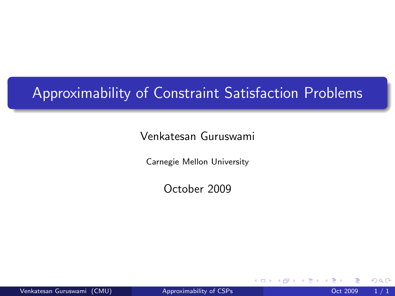## Approximability of Constraint Satisfaction Problems

#### Venkatesan Guruswami

Carnegie Mellon University

October 2009

Venkatesan Guruswami (CMU) [Approximability of CSPs](#page-0-0) Oct 2009 1/1

4 0 8

<span id="page-0-0"></span>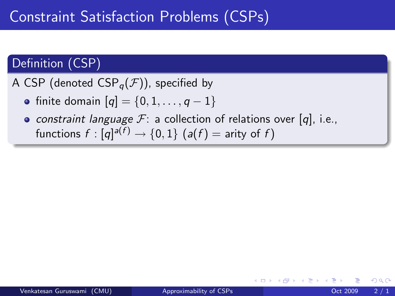## Definition (CSP)

A CSP (denoted  $CSP<sub>a</sub>(\mathcal{F})$ ), specified by

- finite domain  $[q] = \{0, 1, ..., q 1\}$
- constraint language  $\mathcal{F}$ : a collection of relations over [q], i.e., functions  $f:[q]^{a(f)}\rightarrow \{0,1\}$   $(a(f)=$  arity of  $f)$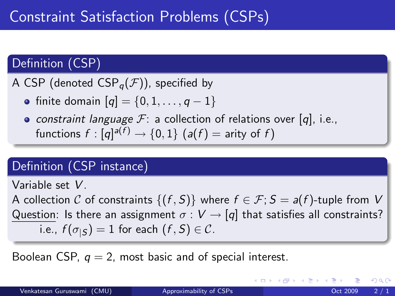## Definition (CSP)

A CSP (denoted  $CSP<sub>a</sub>(\mathcal{F})$ ), specified by

- finite domain  $[q] = \{0, 1, ..., q 1\}$
- constraint language  $\mathcal{F}$ : a collection of relations over [q], i.e., functions  $f:[q]^{a(f)}\rightarrow \{0,1\}$   $(a(f)=$  arity of  $f)$

## Definition (CSP instance)

Variable set V.

A collection C of constraints  $\{(f, S)\}\$  where  $f \in \mathcal{F}$ ;  $S = a(f)$ -tuple from V Question: Is there an assignment  $\sigma: V \rightarrow [q]$  that satisfies all constraints? i.e.,  $f(\sigma_{|S}) = 1$  for each  $(f, S) \in \mathcal{C}$ .

Boolean CSP,  $q = 2$ , most basic and of special interest.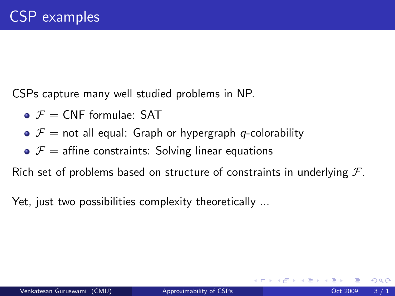CSPs capture many well studied problems in NP.

- $\bullet$   $\mathcal{F}$  = CNF formulae: SAT
- $\bullet$   $\mathcal{F}$  = not all equal: Graph or hypergraph q-colorability
- $\bullet$   $\mathcal{F}$  = affine constraints: Solving linear equations

Rich set of problems based on structure of constraints in underlying  $\mathcal{F}$ .

Yet, just two possibilities complexity theoretically ...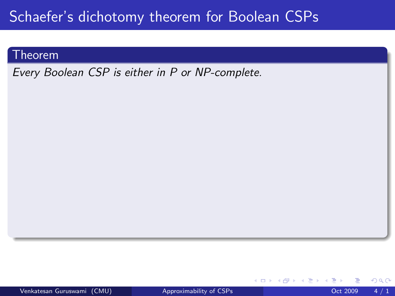## Schaefer's dichotomy theorem for Boolean CSPs

#### **Theorem**

Every Boolean CSP is either in P or NP-complete.

4 0 8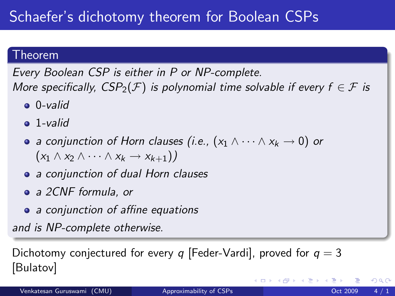### Theorem

Every Boolean CSP is either in P or NP-complete. More specifically,  $CSP_2(\mathcal{F})$  is polynomial time solvable if every  $f \in \mathcal{F}$  is

- 0-valid
- $\bullet$  1-valid
- a conjunction of Horn clauses (i.e.,  $(x_1 \wedge \cdots \wedge x_k \rightarrow 0)$  or  $(x_1 \wedge x_2 \wedge \cdots \wedge x_k \rightarrow x_{k+1})$
- a conjunction of dual Horn clauses
- a 2CNF formula, or
- a conjunction of affine equations

and is NP-complete otherwise.

Dichotomy conjectured for every q [Feder-Vardi], proved for  $q = 3$ [Bulatov]

◂<del>◻</del>▸ ◂<del>⁄</del> ▸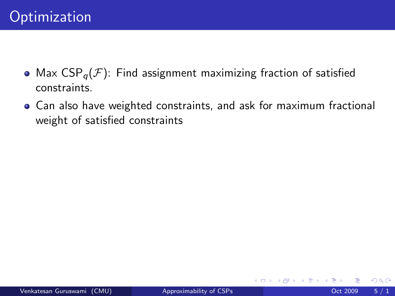- Max  $CSP_{q}(\mathcal{F})$ : Find assignment maximizing fraction of satisfied constraints.
- Can also have weighted constraints, and ask for maximum fractional weight of satisfied constraints

4 0 8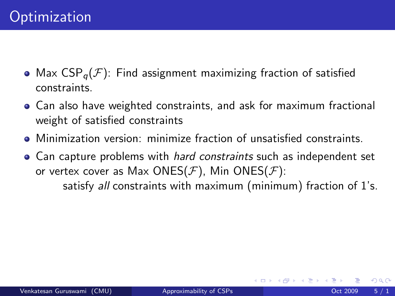- Max  $CSP_{q}(F)$ : Find assignment maximizing fraction of satisfied constraints.
- Can also have weighted constraints, and ask for maximum fractional weight of satisfied constraints
- Minimization version: minimize fraction of unsatisfied constraints.
- Can capture problems with *hard constraints* such as independent set or vertex cover as Max ONES( $\mathcal{F}$ ), Min ONES( $\mathcal{F}$ ):

satisfy all constraints with maximum (minimum) fraction of 1's.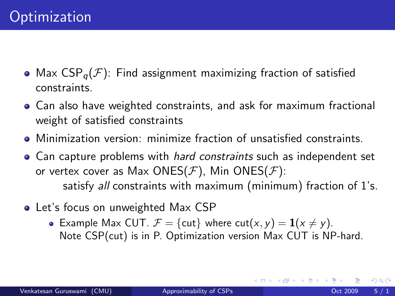- Max  $CSP_{\alpha}(\mathcal{F})$ : Find assignment maximizing fraction of satisfied constraints.
- Can also have weighted constraints, and ask for maximum fractional weight of satisfied constraints
- Minimization version: minimize fraction of unsatisfied constraints.
- Can capture problems with *hard constraints* such as independent set or vertex cover as Max ONES( $\mathcal{F}$ ), Min ONES( $\mathcal{F}$ ): satisfy all constraints with maximum (minimum) fraction of 1's.
- Let's focus on unweighted Max CSP
	- Example Max CUT.  $\mathcal{F} = \{cut\}$  where  $cut(x, y) = \mathbf{1}(x \neq y)$ . Note CSP(cut) is in P. Optimization version Max CUT is NP-hard.

4 D F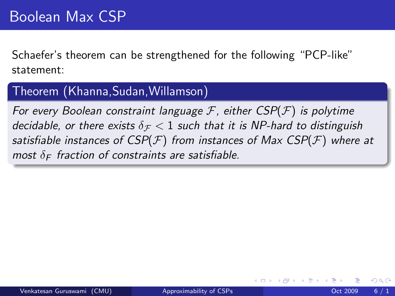Schaefer's theorem can be strengthened for the following "PCP-like" statement:

### Theorem (Khanna,Sudan,Willamson)

For every Boolean constraint language  $\mathcal F$ , either  $CSP(\mathcal F)$  is polytime decidable, or there exists  $\delta_{\mathcal{F}}$  < 1 such that it is NP-hard to distinguish satisfiable instances of  $CSP(\mathcal{F})$  from instances of Max  $CSP(\mathcal{F})$  where at most  $\delta_F$  fraction of constraints are satisfiable.

つひひ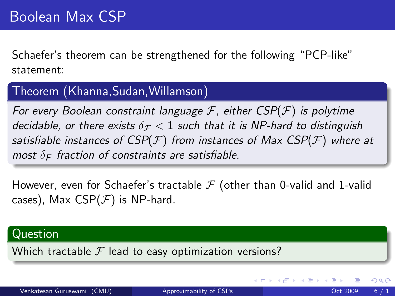Schaefer's theorem can be strengthened for the following "PCP-like" statement:

### Theorem (Khanna,Sudan,Willamson)

For every Boolean constraint language  $F$ , either  $CSP(F)$  is polytime decidable, or there exists  $\delta_{\mathcal{F}}$  < 1 such that it is NP-hard to distinguish satisfiable instances of  $CSP(\mathcal{F})$  from instances of Max  $CSP(\mathcal{F})$  where at most  $\delta_F$  fraction of constraints are satisfiable.

However, even for Schaefer's tractable  $\mathcal F$  (other than 0-valid and 1-valid cases), Max CSP( $F$ ) is NP-hard.

#### Question

Which tractable  $\mathcal F$  lead to easy optimization versions?

◂<del>◻</del>▸ ◂<del>⁄</del> ▸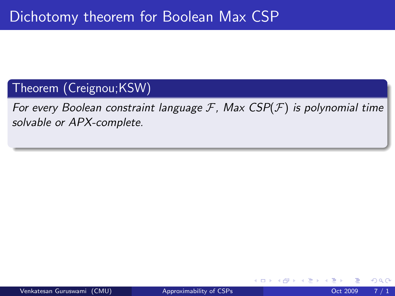## Theorem (Creignou;KSW)

For every Boolean constraint language  $F$ , Max  $CSP(F)$  is polynomial time solvable or APX-complete.

**∢ ⊡**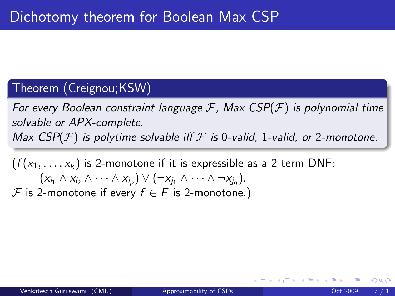### Theorem (Creignou;KSW)

For every Boolean constraint language  $\mathcal F$ , Max  $CSP(\mathcal F)$  is polynomial time solvable or APX-complete.

Max  $CSP(\mathcal{F})$  is polytime solvable iff  $\mathcal F$  is 0-valid, 1-valid, or 2-monotone.

 $(f(x_1, \ldots, x_k))$  is 2-monotone if it is expressible as a 2 term DNF:  $(x_{i_1} \wedge x_{i_2} \wedge \cdots \wedge x_{i_p}) \vee (\neg x_{j_1} \wedge \cdots \wedge \neg x_{j_q}).$ 

F is 2-monotone if every  $f \in F$  is 2-monotone.)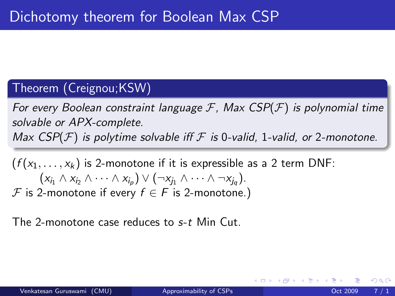### Theorem (Creignou;KSW)

For every Boolean constraint language  $\mathcal F$ , Max  $CSP(\mathcal F)$  is polynomial time solvable or APX-complete. Max  $CSP(\mathcal{F})$  is polytime solvable iff  $\mathcal F$  is 0-valid, 1-valid, or 2-monotone.

 $(f(x_1, \ldots, x_k))$  is 2-monotone if it is expressible as a 2 term DNF:  $(x_{i_1} \wedge x_{i_2} \wedge \cdots \wedge x_{i_p}) \vee (\neg x_{j_1} \wedge \cdots \wedge \neg x_{j_q}).$ F is 2-monotone if every  $f \in F$  is 2-monotone.)

The 2-monotone case reduces to s-t Min Cut.

つひひ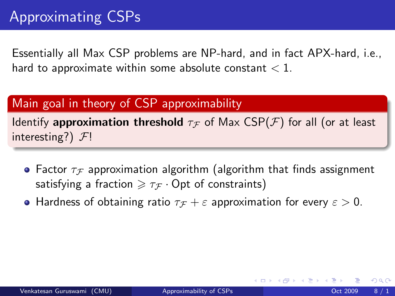Essentially all Max CSP problems are NP-hard, and in fact APX-hard, i.e., hard to approximate within some absolute constant  $< 1$ .

### Main goal in theory of CSP approximability

Identify approximation threshold  $\tau$  of Max CSP( $\mathcal{F}$ ) for all (or at least interesting?)  $F!$ 

- Factor  $\tau_{\mathcal{F}}$  approximation algorithm (algorithm that finds assignment satisfying a fraction  $\geq \tau_{\mathcal{F}} \cdot$  Opt of constraints)
- **Hardness of obtaining ratio**  $\tau_F + \varepsilon$  approximation for every  $\varepsilon > 0$ .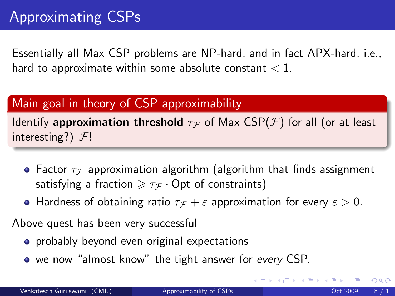Essentially all Max CSP problems are NP-hard, and in fact APX-hard, i.e., hard to approximate within some absolute constant  $< 1$ .

### Main goal in theory of CSP approximability

Identify approximation threshold  $\tau$  of Max CSP( $\mathcal F$ ) for all (or at least interesting?)  $F!$ 

- Factor  $\tau_{\mathcal{F}}$  approximation algorithm (algorithm that finds assignment satisfying a fraction  $\geq \tau_{\mathcal{F}} \cdot$  Opt of constraints)
- Hardness of obtaining ratio  $\tau_{\mathcal{F}} + \varepsilon$  approximation for every  $\varepsilon > 0$ .

Above quest has been very successful

- **•** probably beyond even original expectations
- we now "almost know" the tight answer for every CSP.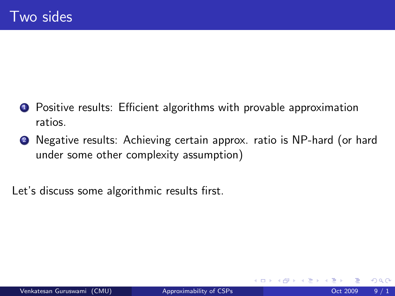- **1** Positive results: Efficient algorithms with provable approximation ratios.
- <sup>2</sup> Negative results: Achieving certain approx. ratio is NP-hard (or hard under some other complexity assumption)

Let's discuss some algorithmic results first.

4 0 8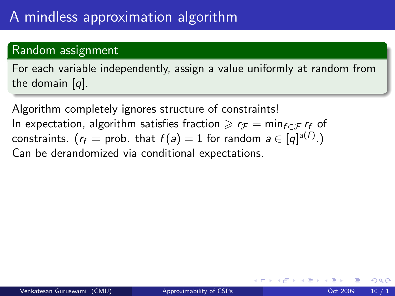### Random assignment

For each variable independently, assign a value uniformly at random from the domain [q].

Algorithm completely ignores structure of constraints! In expectation, algorithm satisfies fraction  $\geq r_F = \min_{f \in \mathcal{F}} r_f$  of constraints.  $\big(r_f = \text{prob. that } f(a) = 1 \text{ for random } a \in [q]^{a(f)}. \big)$ Can be derandomized via conditional expectations.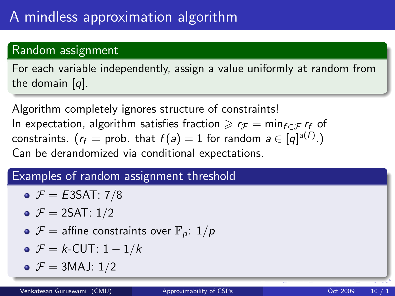### Random assignment

For each variable independently, assign a value uniformly at random from the domain [q].

Algorithm completely ignores structure of constraints! In expectation, algorithm satisfies fraction  $\geq r_F = \min_{f \in \mathcal{F}} r_f$  of constraints.  $\big(r_f = \text{prob. that } f(a) = 1 \text{ for random } a \in [q]^{a(f)}. \big)$ Can be derandomized via conditional expectations.

## Examples of random assignment threshold

- $\bullet$   $\mathcal{F} = E3SAT: 7/8$
- $\bullet$   $\mathcal{F} = 2SAT: 1/2$
- $\bullet$   $\mathcal{F}$  = affine constraints over  $\mathbb{F}_p$ :  $1/p$
- $\bullet$   $\mathcal{F} = k$ -CUT: 1 1/k
- $\bullet$   $\mathcal{F} = 3$ MAJ: 1/2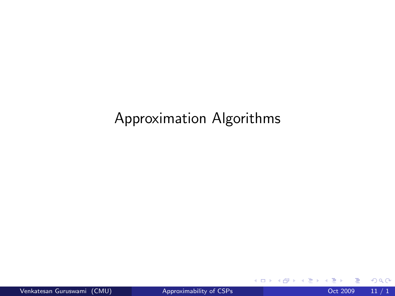## Approximation Algorithms

**4 ロ ▶ 4 母 ▶ 4** 

œ e l ×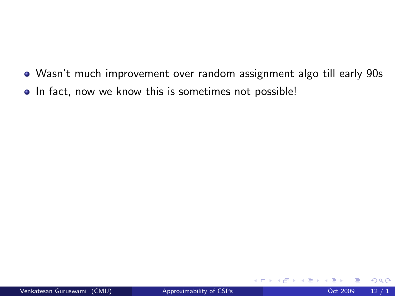- Wasn't much improvement over random assignment algo till early 90s
- In fact, now we know this is sometimes not possible!

4 0 8

 $QQ$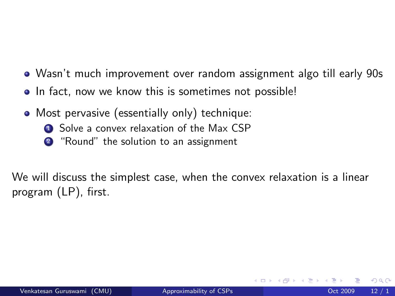- Wasn't much improvement over random assignment algo till early 90s
- In fact, now we know this is sometimes not possible!
- Most pervasive (essentially only) technique:
	- **1** Solve a convex relaxation of the Max CSP
	- <sup>2</sup> "Round" the solution to an assignment

We will discuss the simplest case, when the convex relaxation is a linear program (LP), first.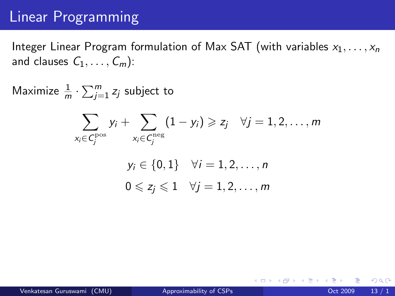## Linear Programming

Integer Linear Program formulation of Max SAT (with variables  $x_1, \ldots, x_n$ ) and clauses  $C_1, \ldots, C_m$ :

Maximize  $\frac{1}{m} \cdot \sum_{j=1}^{m} z_j$  subject to

$$
\sum_{x_i \in C_j^{\text{pos}}} y_i + \sum_{x_i \in C_j^{\text{neg}}} (1 - y_i) \geq z_j \quad \forall j = 1, 2, \dots, m
$$
  

$$
y_i \in \{0, 1\} \quad \forall i = 1, 2, \dots, n
$$
  

$$
0 \leq z_j \leq 1 \quad \forall j = 1, 2, \dots, m
$$

イロト イ母 トイヨ トイヨ トー ヨ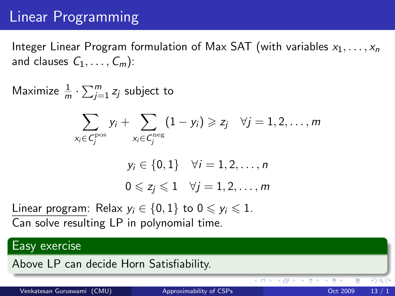## Linear Programming

Integer Linear Program formulation of Max SAT (with variables  $x_1, \ldots, x_n$ ) and clauses  $C_1, \ldots, C_m$ :

Maximize  $\frac{1}{m} \cdot \sum_{j=1}^{m} z_j$  subject to

$$
\sum_{x_i \in C_j^{\text{pos}}} y_i + \sum_{x_i \in C_j^{\text{neg}}} (1 - y_i) \geqslant z_j \quad \forall j = 1, 2, \ldots, m
$$

$$
y_i \in \{0, 1\} \quad \forall i = 1, 2, \dots, n
$$

$$
0 \leq z_j \leq 1 \quad \forall j = 1, 2, \dots, m
$$

Linear program: Relax  $y_i \in \{0,1\}$  to  $0 \leq y_i \leq 1$ . Can solve resulting LP in polynomial time.

#### Easy exercise

Above LP can decide Horn Satisfiability.

4 D F

( 伊 )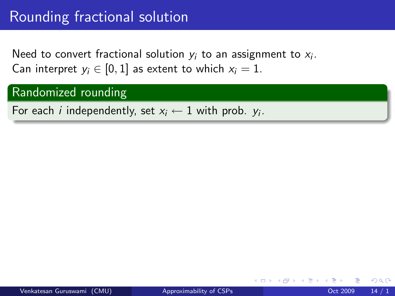Need to convert fractional solution  $y_i$  to an assignment to  $x_i$ . Can interpret  $y_i \in [0, 1]$  as extent to which  $x_i = 1$ .

#### Randomized rounding

For each *i* independently, set  $x_i \leftarrow 1$  with prob.  $y_i$ .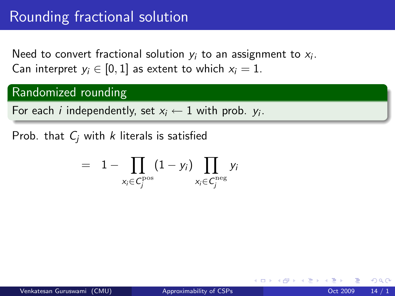Need to convert fractional solution  $y_i$  to an assignment to  $x_i$ . Can interpret  $y_i \in [0, 1]$  as extent to which  $x_i = 1$ .

#### Randomized rounding

For each *i* independently, set  $x_i \leftarrow 1$  with prob.  $y_i$ .

Prob. that  $C_i$  with k literals is satisfied

$$
= 1 - \prod_{x_i \in C_j^{\text{pos}}} (1 - y_i) \prod_{x_i \in C_j^{\text{neg}}} y_i
$$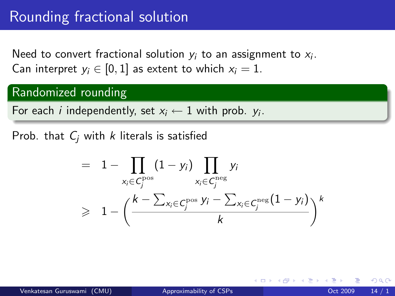Need to convert fractional solution  $y_i$  to an assignment to  $x_i$ . Can interpret  $y_i \in [0, 1]$  as extent to which  $x_i = 1$ .

#### Randomized rounding

For each *i* independently, set  $x_i \leftarrow 1$  with prob.  $y_i$ .

Prob. that  $C_i$  with k literals is satisfied

$$
= 1 - \prod_{x_i \in C_j^{\text{pos}}} (1 - y_i) \prod_{x_i \in C_j^{\text{neg}}} y_i
$$
  
\n
$$
\geq 1 - \left( \frac{k - \sum_{x_i \in C_j^{\text{pos}}} y_i - \sum_{x_i \in C_j^{\text{neg}}} (1 - y_i)}{k} \right)^k
$$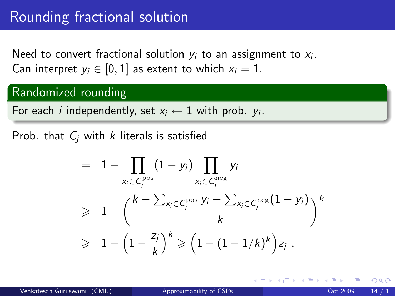Need to convert fractional solution  $y_i$  to an assignment to  $x_i$ . Can interpret  $y_i \in [0, 1]$  as extent to which  $x_i = 1$ .

#### Randomized rounding

For each *i* independently, set  $x_i \leftarrow 1$  with prob.  $y_i$ .

Prob. that  $C_i$  with k literals is satisfied

$$
= 1 - \prod_{x_i \in C_j^{\text{pos}}} (1 - y_i) \prod_{x_i \in C_j^{\text{neg}}} y_i
$$
  
\n
$$
\geq 1 - \left( \frac{k - \sum_{x_i \in C_j^{\text{pos}}} y_i - \sum_{x_i \in C_j^{\text{neg}}} (1 - y_i)}{k} \right)^k
$$
  
\n
$$
\geq 1 - \left( 1 - \frac{z_j}{k} \right)^k \geq \left( 1 - (1 - 1/k)^k \right) z_j.
$$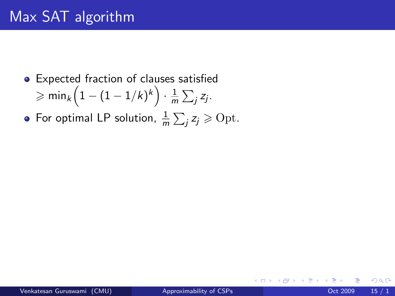- Expected fraction of clauses satisfied  $\geqslant \mathsf{min}_k \Big( 1 - (1 - 1/k)^k \Big) \cdot \frac{1}{n}$  $\frac{1}{m}\sum_j z_j$ .
- For optimal LP solution,  $\frac{1}{m}\sum_j z_j \geqslant \text{Opt.}$

 $\leftarrow$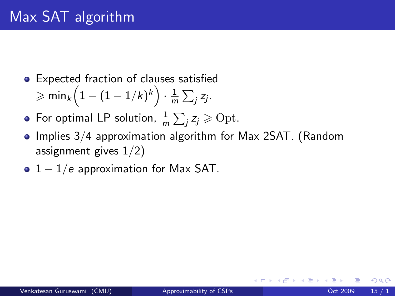- Expected fraction of clauses satisfied  $\geqslant \mathsf{min}_k \Big( 1 - (1 - 1/k)^k \Big) \cdot \frac{1}{n}$  $\frac{1}{m}\sum_j z_j$ .
- For optimal LP solution,  $\frac{1}{m}\sum_j z_j \geqslant \text{Opt.}$
- Implies 3/4 approximation algorithm for Max 2SAT. (Random assignment gives 1/2)
- $1 1/e$  approximation for Max SAT.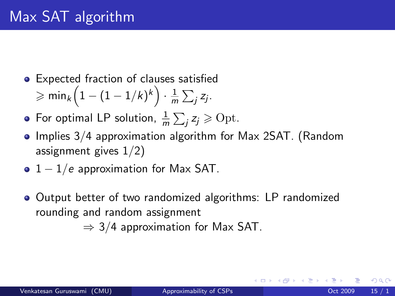- Expected fraction of clauses satisfied  $\geqslant \mathsf{min}_k \Big( 1 - (1 - 1/k)^k \Big) \cdot \frac{1}{n}$  $\frac{1}{m}\sum_j z_j$ .
- For optimal LP solution,  $\frac{1}{m}\sum_j z_j \geqslant \text{Opt.}$
- Implies 3/4 approximation algorithm for Max 2SAT. (Random assignment gives 1/2)
- $1 1/e$  approximation for Max SAT.
- Output better of two randomized algorithms: LP randomized rounding and random assignment

 $\Rightarrow$  3/4 approximation for Max SAT.

つへへ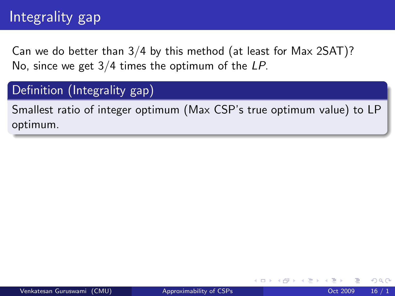# Integrality gap

Can we do better than 3/4 by this method (at least for Max 2SAT)? No, since we get 3/4 times the optimum of the LP.

### Definition (Integrality gap)

Smallest ratio of integer optimum (Max CSP's true optimum value) to LP optimum.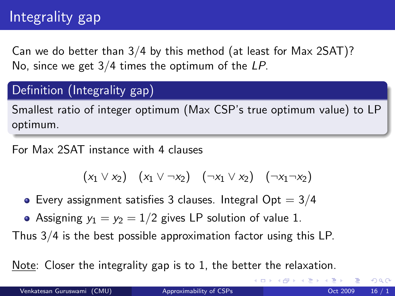# Integrality gap

Can we do better than 3/4 by this method (at least for Max 2SAT)? No, since we get 3/4 times the optimum of the LP.

## Definition (Integrality gap)

Smallest ratio of integer optimum (Max CSP's true optimum value) to LP optimum.

For Max 2SAT instance with 4 clauses

$$
(x_1 \vee x_2) \quad (x_1 \vee \neg x_2) \quad (\neg x_1 \vee x_2) \quad (\neg x_1 \neg x_2)
$$

- Every assignment satisfies 3 clauses. Integral  $Opt = 3/4$
- Assigning  $y_1 = y_2 = 1/2$  gives LP solution of value 1.

Thus 3/4 is the best possible approximation factor using this LP.

Note: Closer the integrality gap is to 1, the better the relaxation.

 $QQQ$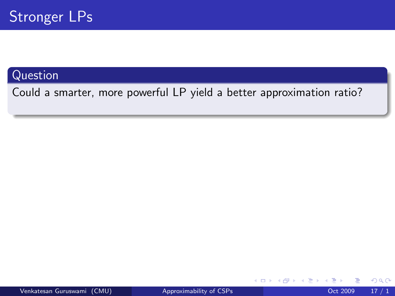### **Question**

Could a smarter, more powerful LP yield a better approximation ratio?

4 0 8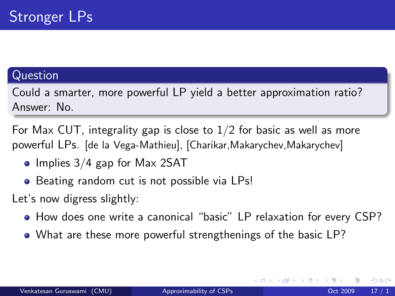### Question

Could a smarter, more powerful LP yield a better approximation ratio? Answer: No.

For Max CUT, integrality gap is close to  $1/2$  for basic as well as more powerful LPs. [de la Vega-Mathieu], [Charikar, Makarychev, Makarychev]

- $\bullet$  Implies 3/4 gap for Max 2SAT
- Beating random cut is not possible via LPs!

Let's now digress slightly:

- How does one write a canonical "basic" LP relaxation for every CSP?
- What are these more powerful strengthenings of the basic LP?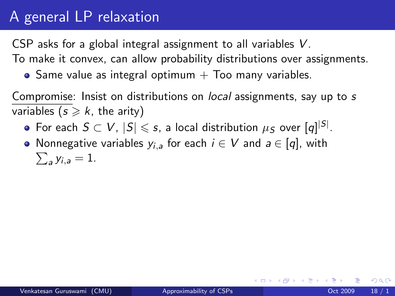## A general LP relaxation

CSP asks for a global integral assignment to all variables V.

To make it convex, can allow probability distributions over assignments.

 $\bullet$  Same value as integral optimum  $+$  Too many variables.

Compromise: Insist on distributions on local assignments, say up to s variables ( $s \ge k$ , the arity)

- For each  $S\subset V$ ,  $|S|\leqslant s$ , a local distribution  $\mu_S$  over  $[q]^{ |S|}.$
- Nonnegative variables  $y_{i,a}$  for each  $i\in V$  and  $a\in [q]$ , with  $\sum_{a} y_{i,a} = 1.$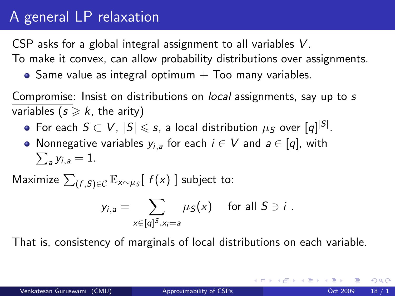### A general LP relaxation

CSP asks for a global integral assignment to all variables V.

To make it convex, can allow probability distributions over assignments.

 $\bullet$  Same value as integral optimum  $+$  Too many variables.

Compromise: Insist on distributions on local assignments, say up to s variables ( $s \geq k$ , the arity)

- For each  $S\subset V$ ,  $|S|\leqslant s$ , a local distribution  $\mu_S$  over  $[q]^{ |S|}.$
- Nonnegative variables  $y_{i,a}$  for each  $i\in V$  and  $a\in [q]$ , with  $\sum_{a} y_{i,a} = 1.$

Maximize  $\sum_{(f,S)\in\mathcal{C}}\mathbb{E}_{\mathsf{x}\sim\mu_S}[\;f(\mathsf{x})\;]$  subject to:

$$
y_{i,a} = \sum_{x \in [q]^S, x_i = a} \mu_S(x) \quad \text{for all } S \ni i.
$$

That is, consistency of marginals of local distributions on each variable.

 $QQ$ 

メロメ メ都 メメ きょくき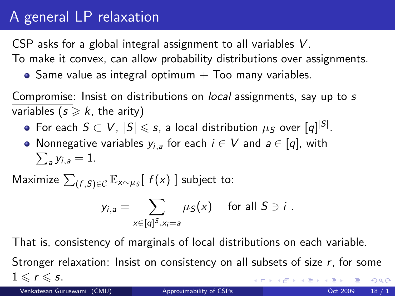## A general LP relaxation

CSP asks for a global integral assignment to all variables V.

To make it convex, can allow probability distributions over assignments.

 $\bullet$  Same value as integral optimum  $+$  Too many variables.

Compromise: Insist on distributions on local assignments, say up to s variables ( $s \geq k$ , the arity)

- For each  $S\subset V$ ,  $|S|\leqslant s$ , a local distribution  $\mu_S$  over  $[q]^{ |S|}.$
- Nonnegative variables  $y_{i,a}$  for each  $i\in V$  and  $a\in [q]$ , with  $\sum_{a} y_{i,a} = 1.$

Maximize  $\sum_{(f,S)\in\mathcal{C}}\mathbb{E}_{\mathsf{x}\sim\mu_S}[\;f(\mathsf{x})\;]$  subject to:

$$
y_{i,a} = \sum_{x \in [q]^S, x_i = a} \mu_S(x) \quad \text{for all } S \ni i.
$$

That is, consistency of marginals of local distributions on each variable. Stronger relaxation: Insist on consistency on all subsets of size  $r$ , for some  $1 \leq r \leq s$ .  $299$ メロトメ 倒す メミトメモ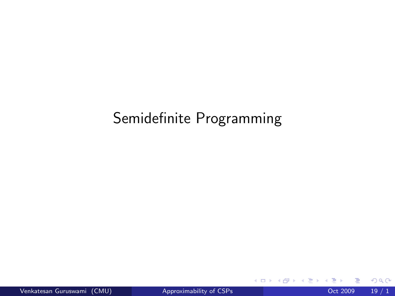### Semidefinite Programming

**← ロ ▶ → イ 同** 

**SILLER** 

×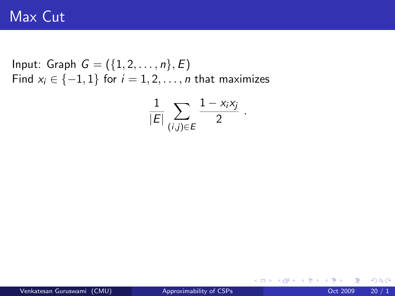Input: Graph  $G = (\{1, 2, ..., n\}, E)$ Find  $x_i \in \{-1, 1\}$  for  $i = 1, 2, \ldots, n$  that maximizes

$$
\frac{1}{|E|}\sum_{(i,j)\in E}\frac{1-x_ix_j}{2}.
$$

 $2Q$ 

メロメ メ都 メメ きょくき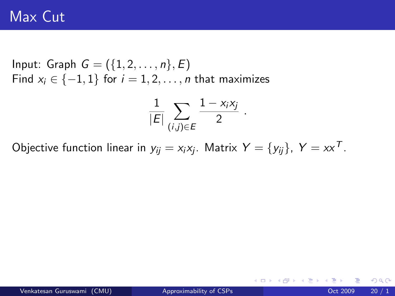Input: Graph  $G = (\{1, 2, ..., n\}, E)$ Find  $x_i \in \{-1, 1\}$  for  $i = 1, 2, \ldots, n$  that maximizes

$$
\frac{1}{|E|}\sum_{(i,j)\in E}\frac{1-x_ix_j}{2}.
$$

Objective function linear in  $y_{ij} = x_i x_j$ . Matrix  $Y = \{y_{ij}\},\;Y = xx^{\mathcal{T}}.$ 

イロト イ母 トイヨ トイヨト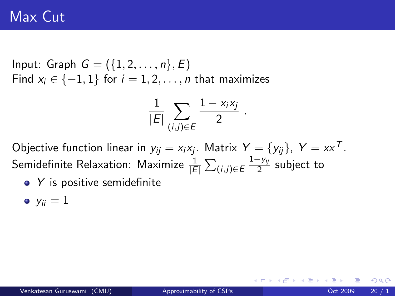Input: Graph  $G = (\{1, 2, ..., n\}, E)$ Find  $x_i \in \{-1, 1\}$  for  $i = 1, 2, \ldots, n$  that maximizes

$$
\frac{1}{|E|}\sum_{(i,j)\in E}\frac{1-x_ix_j}{2}.
$$

Objective function linear in  $y_{ij} = x_i x_j$ . Matrix  $Y = \{y_{ij}\},\;Y = xx^{\mathcal{T}}.$  $\mathsf{Semidefinite}$  Relaxation: Maximize  $\frac{1}{|E|}\sum_{(i,j)\in E}$  $1-y_{ij}$  $\frac{-y_{ij}}{2}$  subject to

 $\bullet$  Y is positive semidefinite

$$
\bullet \; y_{ii}=1
$$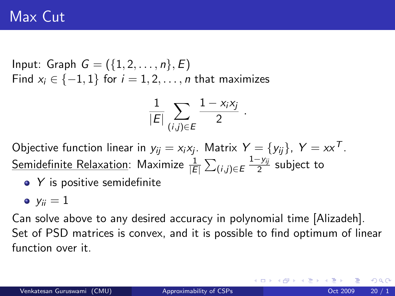Input: Graph  $G = (\{1, 2, ..., n\}, E)$ Find  $x_i \in \{-1, 1\}$  for  $i = 1, 2, \ldots, n$  that maximizes

$$
\frac{1}{|E|}\sum_{(i,j)\in E}\frac{1-x_ix_j}{2}.
$$

Objective function linear in  $y_{ij} = x_i x_j$ . Matrix  $Y = \{y_{ij}\},\;Y = xx^{\mathcal{T}}.$  $\mathsf{Semidefinite}$  Relaxation: Maximize  $\frac{1}{|E|}\sum_{(i,j)\in E}$  $1-y_{ij}$  $\frac{-y_{ij}}{2}$  subject to

• Y is positive semidefinite

$$
\bullet \; y_{ii}=1
$$

Can solve above to any desired accuracy in polynomial time [Alizadeh]. Set of PSD matrices is convex, and it is possible to find optimum of linear function over it.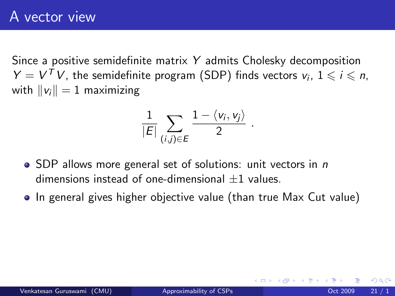Since a positive semidefinite matrix Y admits Cholesky decomposition  $Y = V<sup>T</sup> V$ , the semidefinite program (SDP) finds vectors  $v_i$ ,  $1 \leq i \leq n$ , with  $||v_i|| = 1$  maximizing

$$
\frac{1}{|E|}\sum_{(i,j)\in E}\frac{1-\langle v_i,v_j\rangle}{2}
$$

.

- SDP allows more general set of solutions: unit vectors in *n* dimensions instead of one-dimensional  $+1$  values.
- In general gives higher objective value (than true Max Cut value)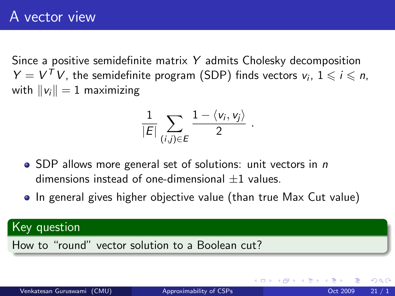Since a positive semidefinite matrix Y admits Cholesky decomposition  $Y = V<sup>T</sup> V$ , the semidefinite program (SDP) finds vectors  $v_i$ ,  $1 \leq i \leq n$ , with  $||v_i|| = 1$  maximizing

$$
\frac{1}{|E|}\sum_{(i,j)\in E}\frac{1-\langle v_i,v_j\rangle}{2}
$$

.

- SDP allows more general set of solutions: unit vectors in *n* dimensions instead of one-dimensional  $+1$  values.
- In general gives higher objective value (than true Max Cut value)

#### Key question

How to "round" vector solution to a Boolean cut?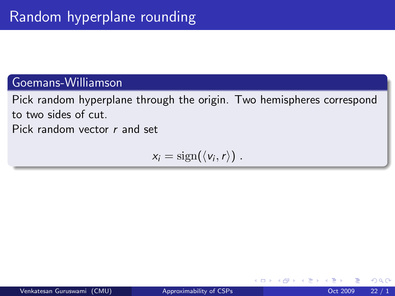#### Goemans-Williamson

Pick random hyperplane through the origin. Two hemispheres correspond to two sides of cut. Pick random vector r and set

 $x_i = \text{sign}(\langle v_i, r \rangle)$ .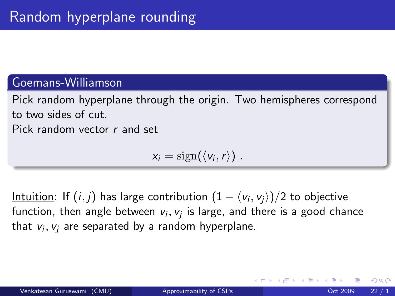#### Goemans-Williamson

Pick random hyperplane through the origin. Two hemispheres correspond to two sides of cut. Pick random vector r and set

$$
x_i=\mathrm{sign}(\langle v_i,r\rangle)\ .
$$

<u>Intuition</u>: If  $(i,j)$  has large contribution  $(1 - \langle \mathsf{v}_i, \mathsf{v}_j \rangle )/2$  to objective function, then angle between  $\mathsf{v}_i,\mathsf{v}_j$  is large, and there is a good chance that  $v_i,v_j$  are separated by a random hyperplane.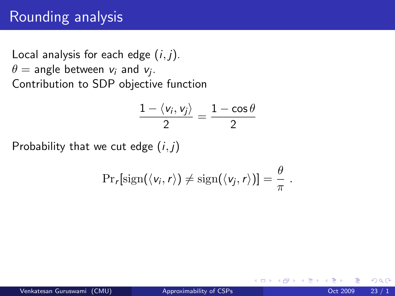### Rounding analysis

Local analysis for each edge  $(i, j)$ .  $\theta =$  angle between  $\mathsf{v}_i$  and  $\mathsf{v}_j.$ Contribution to SDP objective function

$$
\frac{1-\langle v_i,v_j\rangle}{2}=\frac{1-\cos\theta}{2}
$$

Probability that we cut edge  $(i, j)$ 

$$
\Pr_r[\text{sign}(\langle v_i, r \rangle) \neq \text{sign}(\langle v_j, r \rangle)] = \frac{\theta}{\pi}.
$$

4 0 8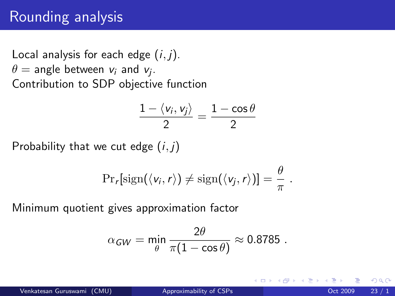### Rounding analysis

Local analysis for each edge  $(i, j)$ .  $\theta =$  angle between  $\mathsf{v}_i$  and  $\mathsf{v}_j.$ Contribution to SDP objective function

$$
\frac{1-\langle v_i,v_j\rangle}{2}=\frac{1-\cos\theta}{2}
$$

Probability that we cut edge  $(i, j)$ 

$$
\Pr_r[\text{sign}(\langle v_i, r \rangle) \neq \text{sign}(\langle v_j, r \rangle)] = \frac{\theta}{\pi}.
$$

Minimum quotient gives approximation factor

$$
\alpha_{\text{GW}} = \min_{\theta} \frac{2\theta}{\pi(1 - \cos\theta)} \approx 0.8785 \ .
$$

4 0 8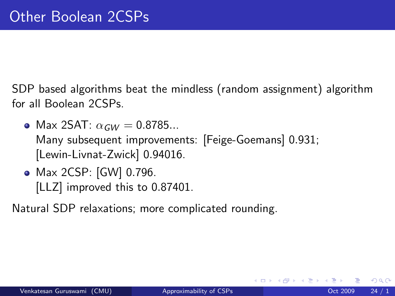SDP based algorithms beat the mindless (random assignment) algorithm for all Boolean 2CSPs.

- Max 2SAT:  $\alpha_{GW} = 0.8785...$ Many subsequent improvements: [Feige-Goemans] 0.931; [Lewin-Livnat-Zwick] 0.94016.
- Max 2CSP: [GW] 0.796. [LLZ] improved this to 0.87401.

Natural SDP relaxations; more complicated rounding.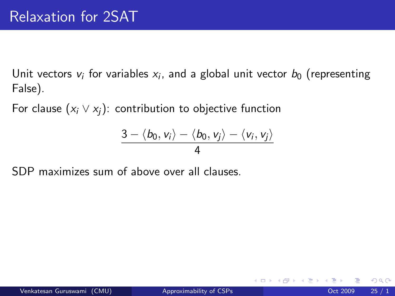Unit vectors  $v_i$  for variables  $x_i$ , and a global unit vector  $b_0$  (representing False).

For clause  $(x_i \vee x_j)$ : contribution to objective function

$$
\frac{3-\langle b_0,v_i\rangle-\langle b_0,v_j\rangle-\langle v_i,v_j\rangle}{4}
$$

SDP maximizes sum of above over all clauses.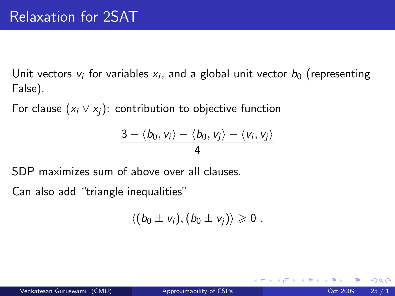Unit vectors  $v_i$  for variables  $x_i$ , and a global unit vector  $b_0$  (representing False).

For clause  $(x_i \vee x_j)$ : contribution to objective function

$$
\frac{3-\langle b_0,v_i\rangle-\langle b_0,v_j\rangle-\langle v_i,v_j\rangle}{4}
$$

SDP maximizes sum of above over all clauses.

Can also add "triangle inequalities"

$$
\langle (b_0\pm v_i),(b_0\pm v_j)\rangle\geqslant 0\ .
$$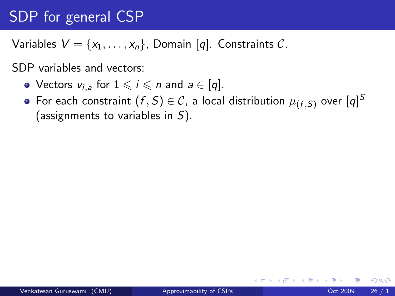## SDP for general CSP

Variables  $V = \{x_1, \ldots, x_n\}$ , Domain [q]. Constraints C.

SDP variables and vectors:

- Vectors  $v_{i,a}$  for  $1 \leq i \leq n$  and  $a \in |q|$ .
- For each constraint  $(f, S) \in \mathcal{C}$ , a local distribution  $\mu_{(f, S)}$  over  $[q]^S$ (assignments to variables in S).

 $QQ$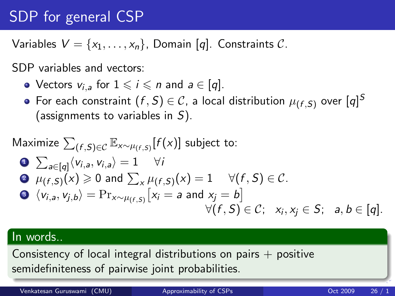## SDP for general CSP

Variables  $V = \{x_1, \ldots, x_n\}$ , Domain [q]. Constraints C.

SDP variables and vectors:

- Vectors  $v_{i,a}$  for  $1 \leq i \leq n$  and  $a \in |q|$ .
- For each constraint  $(f, S) \in \mathcal{C}$ , a local distribution  $\mu_{(f, S)}$  over  $[q]^S$ (assignments to variables in  $S$ ).

$$
\begin{array}{ll}\n\text{Maximize } \sum_{(f,S)\in\mathcal{C}} \mathbb{E}_{x \sim \mu_{(f,S)}}[f(x)] \text{ subject to:} \\
& \bullet \sum_{a \in [q]} \langle v_{i,a}, v_{i,a} \rangle = 1 \quad \forall i \\
& \bullet \mu_{(f,S)}(x) \ge 0 \text{ and } \sum_{x} \mu_{(f,S)}(x) = 1 \quad \forall (f,S) \in \mathcal{C}.\n\end{array}
$$
\n
$$
\begin{array}{ll}\n\bullet \langle v_{i,a}, v_{j,b} \rangle = \Pr_{x \sim \mu_{(f,S)}}[x_i = a \text{ and } x_j = b] \\
& \forall (f,S) \in \mathcal{C}; \quad x_i, x_j \in S; \quad a, b \in [q].\n\end{array}
$$

#### In words..

Consistency of local integral distributions on pairs  $+$  positive semidefiniteness of pairwise joint probabilities.

Venkatesan Guruswami (CMU) and [Approximability of CSPs](#page-0-0) Contained the CSC 2009 26 / 1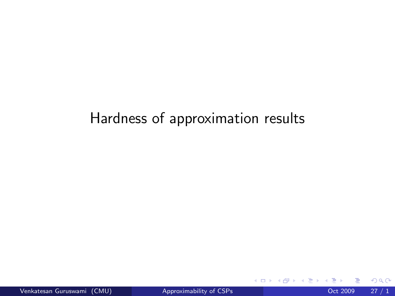### Hardness of approximation results

4 0 8

 $\sim$ 

×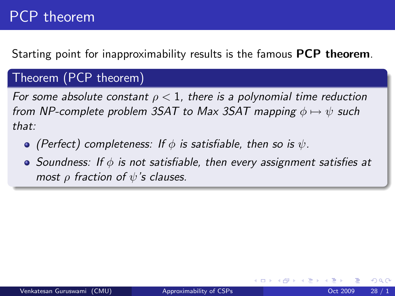### PCP theorem

Starting point for inapproximability results is the famous **PCP theorem**.

#### Theorem (PCP theorem)

For some absolute constant  $\rho < 1$ , there is a polynomial time reduction from NP-complete problem 3SAT to Max 3SAT mapping  $\phi \mapsto \psi$  such that:

 $\bullet$  (Perfect) completeness: If  $\phi$  is satisfiable, then so is  $\psi$ .

 $\bullet$  Soundness: If  $\phi$  is not satisfiable, then every assignment satisfies at most  $\rho$  fraction of  $\psi$ 's clauses.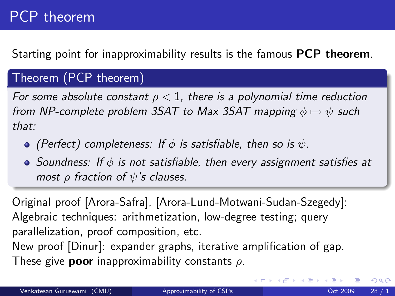### PCP theorem

Starting point for inapproximability results is the famous **PCP theorem**.

#### Theorem (PCP theorem)

For some absolute constant  $\rho < 1$ , there is a polynomial time reduction from NP-complete problem 3SAT to Max 3SAT mapping  $\phi \mapsto \psi$  such that:

- $\bullet$  (Perfect) completeness: If  $\phi$  is satisfiable, then so is  $\psi$ .
- $\bullet$  Soundness: If  $\phi$  is not satisfiable, then every assignment satisfies at most  $\rho$  fraction of  $\psi$ 's clauses.

Original proof [Arora-Safra], [Arora-Lund-Motwani-Sudan-Szegedy]: Algebraic techniques: arithmetization, low-degree testing; query parallelization, proof composition, etc. New proof [Dinur]: expander graphs, iterative amplification of gap. These give **poor** inapproximability constants  $\rho$ .

4 D F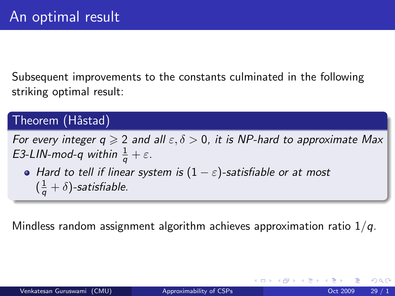Subsequent improvements to the constants culminated in the following striking optimal result:

#### Theorem (Håstad)

For every integer  $q \geqslant 2$  and all  $\varepsilon, \delta > 0$ , it is NP-hard to approximate Max E3-LIN-mod-q within  $\frac{1}{q} + \varepsilon$ .

• Hard to tell if linear system is  $(1 - \varepsilon)$ -satisfiable or at most  $(\frac{1}{q} + \delta)$ -satisfiable.

Mindless random assignment algorithm achieves approximation ratio  $1/q$ .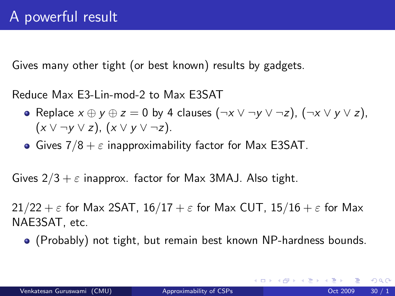Gives many other tight (or best known) results by gadgets.

Reduce Max E3-Lin-mod-2 to Max E3SAT

- Replace  $x \oplus y \oplus z = 0$  by 4 clauses  $(\neg x \lor \neg y \lor \neg z)$ ,  $(\neg x \lor y \lor z)$ ,  $(x \vee \neg y \vee z)$ ,  $(x \vee y \vee \neg z)$ .
- Gives  $7/8 + \varepsilon$  inapproximability factor for Max E3SAT.

Gives  $2/3 + \varepsilon$  inapprox. factor for Max 3MAJ. Also tight.

 $21/22 + \varepsilon$  for Max 2SAT,  $16/17 + \varepsilon$  for Max CUT,  $15/16 + \varepsilon$  for Max NAE3SAT, etc.

(Probably) not tight, but remain best known NP-hardness bounds.

 $QQ$ 

イロト イ押 トイヨト イヨ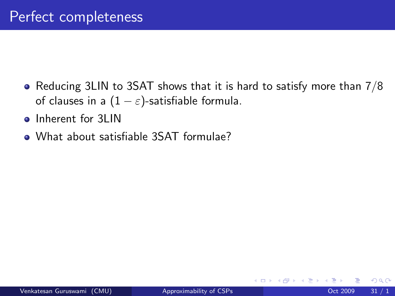- Reducing 3LIN to 3SAT shows that it is hard to satisfy more than 7/8 of clauses in a  $(1 - \varepsilon)$ -satisfiable formula.
- **o** Inherent for 3LIN
- What about satisfiable 3SAT formulae?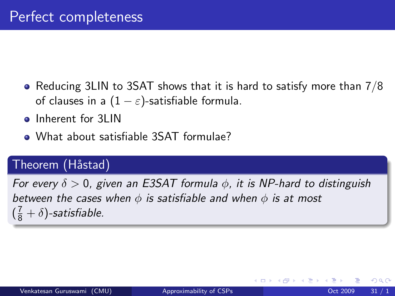- Reducing 3LIN to 3SAT shows that it is hard to satisfy more than 7/8 of clauses in a  $(1 - \varepsilon)$ -satisfiable formula.
- Inherent for 3LIN
- What about satisfiable 3SAT formulae?

#### Theorem (Håstad)

For every  $\delta > 0$ , given an E3SAT formula  $\phi$ , it is NP-hard to distinguish between the cases when  $\phi$  is satisfiable and when  $\phi$  is at most  $(\frac{7}{8} + \delta)$ -satisfiable.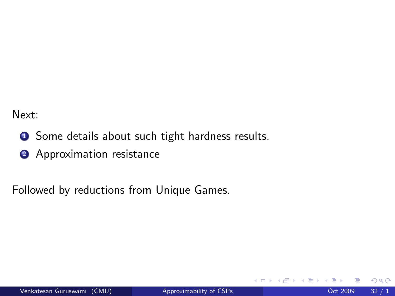Next:

- **1** Some details about such tight hardness results.
- <sup>2</sup> Approximation resistance

Followed by reductions from Unique Games.

4 0 8

 $QQ$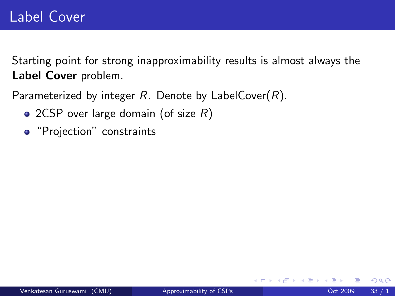Starting point for strong inapproximability results is almost always the Label Cover problem.

Parameterized by integer  $R$ . Denote by LabelCover $(R)$ .

- 2CSP over large domain (of size  $R$ )
- "Projection" constraints

4 0 8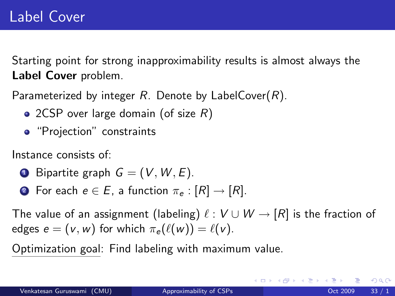Starting point for strong inapproximability results is almost always the Label Cover problem.

Parameterized by integer  $R$ . Denote by LabelCover $(R)$ .

- 2CSP over large domain (of size  $R$ )
- "Projection" constraints

Instance consists of:

- **1** Bipartite graph  $G = (V, W, E)$ .
- **2** For each  $e \in E$ , a function  $\pi_e : [R] \rightarrow [R]$ .

The value of an assignment (labeling)  $\ell : V \cup W \rightarrow [R]$  is the fraction of edges  $e = (v, w)$  for which  $\pi_e(\ell(w)) = \ell(v)$ .

Optimization goal: Find labeling with maximum value.

 $\Omega$ 

K ロ ⊁ K 個 ≯ K 君 ⊁ K 君 ≯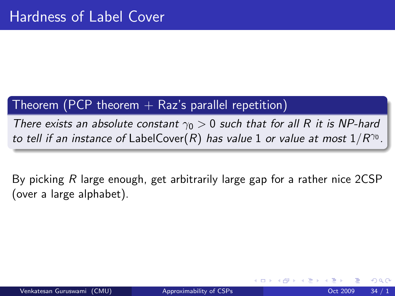#### Theorem (PCP theorem  $+$  Raz's parallel repetition)

There exists an absolute constant  $\gamma_0 > 0$  such that for all R it is NP-hard to tell if an instance of LabelCover $(R)$  has value 1 or value at most  $1/R^{\gamma_0}.$ 

By picking R large enough, get arbitrarily large gap for a rather nice 2CSP (over a large alphabet).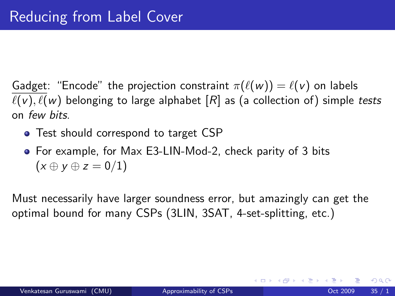Gadget: "Encode" the projection constraint  $\pi(\ell(w)) = \ell(v)$  on labels  $\ell(v)$ ,  $\ell(w)$  belonging to large alphabet  $[R]$  as (a collection of) simple tests on few bits.

- Test should correspond to target CSP
- For example, for Max E3-LIN-Mod-2, check parity of 3 bits  $(x \oplus y \oplus z = 0/1)$

Must necessarily have larger soundness error, but amazingly can get the optimal bound for many CSPs (3LIN, 3SAT, 4-set-splitting, etc.)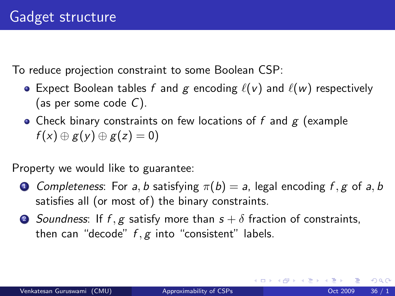To reduce projection constraint to some Boolean CSP:

- Expect Boolean tables f and g encoding  $\ell(v)$  and  $\ell(w)$  respectively (as per some code  $C$ ).
- Check binary constraints on few locations of  $f$  and  $g$  (example  $f(x) \oplus g(y) \oplus g(z) = 0$

Property we would like to guarantee:

- **1** Completeness: For a, b satisfying  $\pi(b) = a$ , legal encoding f, g of a, b satisfies all (or most of) the binary constraints.
- 2 Soundness: If f, g satisfy more than  $s + \delta$  fraction of constraints, then can "decode"  $f, g$  into "consistent" labels.

 $QQ$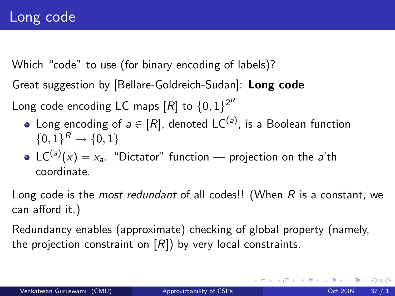Which "code" to use (for binary encoding of labels)?

Great suggestion by [Bellare-Goldreich-Sudan]: Long code

Long code encoding LC maps  $[R]$  to  $\{0,1\}^{2^R}$ 

- Long encoding of  $a\in[R]$ , denoted LC $^{(a)}$ , is a Boolean function  $\{0,1\}^R \to \{0,1\}$
- $\mathsf{LC}^{(\mathsf{a})} (x) = x_{\mathsf{a}}$ . "Dictator" function projection on the  $\mathsf{a}'$ th coordinate.

Long code is the *most redundant* of all codes!! (When  $R$  is a constant, we can afford it.)

Redundancy enables (approximate) checking of global property (namely, the projection constraint on  $[R]$ ) by very local constraints.

 $\Omega$ 

K ロンス 御 > ス ヨ > ス ヨ > 一 ヨ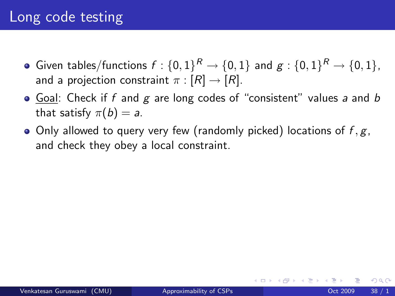#### Long code testing

- Given tables/functions  $f:\{0,1\}^R \rightarrow \{0,1\}$  and  $g:\{0,1\}^R \rightarrow \{0,1\},$ and a projection constraint  $\pi : [R] \rightarrow [R]$ .
- Goal: Check if f and  $g$  are long codes of "consistent" values a and b that satisfy  $\pi(b) = a$ .
- Only allowed to query very few (randomly picked) locations of  $f, g$ , and check they obey a local constraint.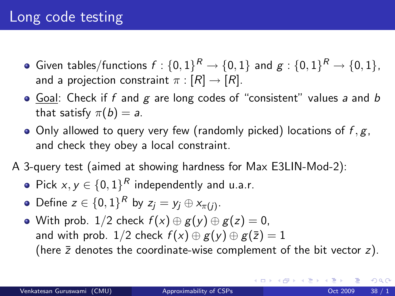- Given tables/functions  $f:\{0,1\}^R \rightarrow \{0,1\}$  and  $g:\{0,1\}^R \rightarrow \{0,1\},$ and a projection constraint  $\pi : [R] \rightarrow [R]$ .
- Goal: Check if f and  $g$  are long codes of "consistent" values a and  $b$ that satisfy  $\pi(b) = a$ .
- Only allowed to query very few (randomly picked) locations of  $f, g$ , and check they obey a local constraint.
- A 3-query test (aimed at showing hardness for Max E3LIN-Mod-2):
	- Pick  $x, y \in \{0,1\}^R$  independently and u.a.r.
	- Define  $z \in \{0,1\}^R$  by  $z_j = y_j \oplus x_{\pi(j)}$ .
	- With prob. 1/2 check  $f(x) \oplus g(y) \oplus g(z) = 0$ , and with prob. 1/2 check  $f(x) \oplus g(y) \oplus g(\overline{z}) = 1$ (here  $\bar{z}$  denotes the coordinate-wise complement of the bit vector  $z$ ).

 $\Omega$ 

メロトメ 倒す メミトメモ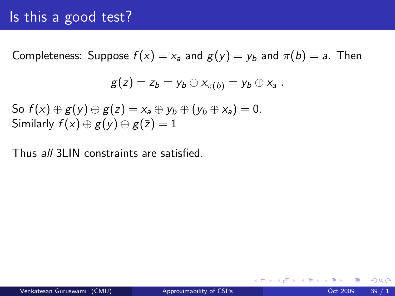#### Is this a good test?

Completeness: Suppose  $f(x) = x_a$  and  $g(y) = y_b$  and  $\pi(b) = a$ . Then

$$
g(z) = z_b = y_b \oplus x_{\pi(b)} = y_b \oplus x_a.
$$

So  $f(x) \oplus g(y) \oplus g(z) = x_a \oplus y_b \oplus (y_b \oplus x_a) = 0.$ Similarly  $f(x) \oplus g(y) \oplus g(\overline{z}) = 1$ 

Thus all 3LIN constraints are satisfied.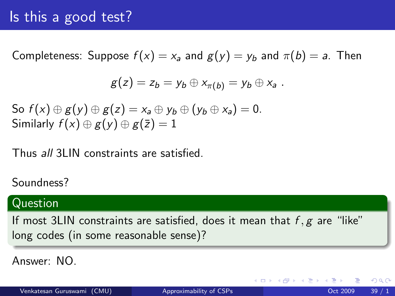#### Is this a good test?

Completeness: Suppose  $f(x) = x_a$  and  $g(y) = y_b$  and  $\pi(b) = a$ . Then

$$
g(z) = z_b = y_b \oplus x_{\pi(b)} = y_b \oplus x_a.
$$

So  $f(x) \oplus g(y) \oplus g(z) = x_a \oplus y_b \oplus (y_b \oplus x_a) = 0.$ Similarly  $f(x) \oplus g(y) \oplus g(\overline{z}) = 1$ 

Thus all 3LIN constraints are satisfied.

#### Soundness?

#### Question

If most 3LIN constraints are satisfied, does it mean that  $f, g$  are "like" long codes (in some reasonable sense)?

Answer: NO.

 $QQ$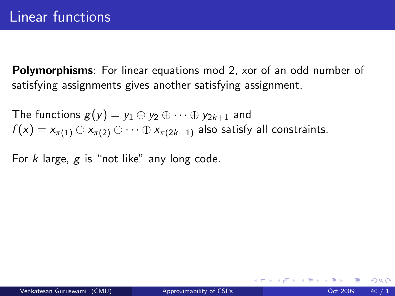Polymorphisms: For linear equations mod 2, xor of an odd number of satisfying assignments gives another satisfying assignment.

The functions  $g(y) = y_1 \oplus y_2 \oplus \cdots \oplus y_{2k+1}$  and  $f(x) = x_{\pi(1)} \oplus x_{\pi(2)} \oplus \cdots \oplus x_{\pi(2k+1)}$  also satisfy all constraints.

For  $k$  large,  $g$  is "not like" any long code.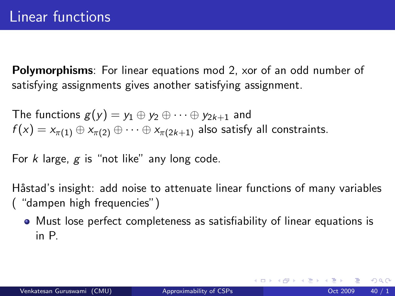Polymorphisms: For linear equations mod 2, xor of an odd number of satisfying assignments gives another satisfying assignment.

The functions  $g(y) = y_1 \oplus y_2 \oplus \cdots \oplus y_{2k+1}$  and  $f(x) = x_{\pi(1)} \oplus x_{\pi(2)} \oplus \cdots \oplus x_{\pi(2k+1)}$  also satisfy all constraints.

For  $k$  large,  $g$  is "not like" any long code.

Håstad's insight: add noise to attenuate linear functions of many variables ( "dampen high frequencies")

Must lose perfect completeness as satisfiability of linear equations is in P.

 $\Omega$ 

K ロ ▶ K 優 ▶ K 결 ▶ K 결 ▶ ○ 결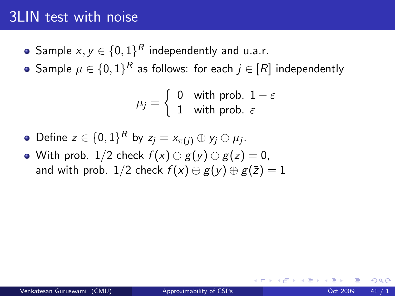#### 3LIN test with noise

- Sample  $x,y\in\{0,1\}^R$  independently and u.a.r.
- Sample  $\mu \in \{0,1\}^R$  as follows: for each  $j \in [R]$  independently

$$
\mu_j = \left\{ \begin{array}{ll} 0 & \text{with prob. } 1 - \varepsilon \\ 1 & \text{with prob. } \varepsilon \end{array} \right.
$$

- Define  $z \in \{0,1\}^R$  by  $z_j = x_{\pi(j)} \oplus y_j \oplus \mu_j$ .
- With prob. 1/2 check  $f(x) \oplus g(y) \oplus g(z) = 0$ , and with prob. 1/2 check  $f(x) \oplus g(y) \oplus g(\overline{z}) = 1$

 $200$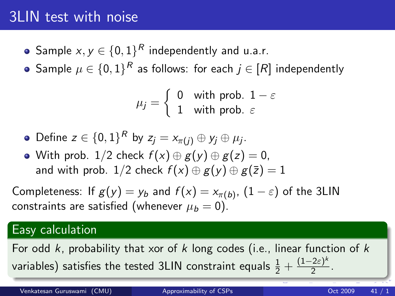### 3LIN test with noise

- Sample  $x,y\in\{0,1\}^R$  independently and u.a.r.
- Sample  $\mu \in \{0,1\}^R$  as follows: for each  $j \in [R]$  independently

$$
\mu_j = \left\{ \begin{array}{ll} 0 & \text{with prob. } 1 - \varepsilon \\ 1 & \text{with prob. } \varepsilon \end{array} \right.
$$

- Define  $z \in \{0,1\}^R$  by  $z_j = x_{\pi(j)} \oplus y_j \oplus \mu_j$ .
- With prob. 1/2 check  $f(x) \oplus g(y) \oplus g(z) = 0$ , and with prob. 1/2 check  $f(x) \oplus g(y) \oplus g(\overline{z}) = 1$

Completeness: If  $g(y) = y_b$  and  $f(x) = x_{\pi(b)}, \ (1-\varepsilon)$  of the 3LIN constraints are satisfied (whenever  $\mu_b = 0$ ).

#### Easy calculation

For odd k, probability that xor of k long codes (i.e., linear function of k variables) satisfies the tested 3LIN constraint equals  $\frac{1}{2} + \frac{(1-2\varepsilon)^k}{2}$  $\frac{1}{2} + \frac{(1-2\varepsilon)^k}{2}$  $\frac{1}{2} + \frac{(1-2\varepsilon)^k}{2}$  $\frac{2\varepsilon f}{2}$  $\frac{2\varepsilon f}{2}$  $\frac{2\varepsilon f}{2}$ .

Venkatesan Guruswami (CMU) and [Approximability of CSPs](#page-0-0) Contract Contract COMU 41 /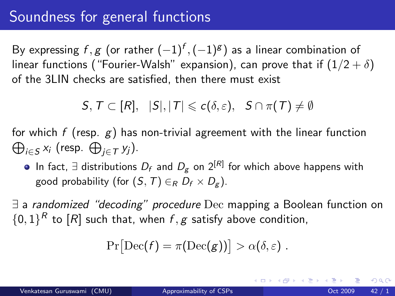### Soundness for general functions

By expressing  $f,g$  (or rather  $(-1)^f,(-1)^\mathrm{g})$  as a linear combination of linear functions ("Fourier-Walsh" expansion), can prove that if  $(1/2 + \delta)$ of the 3LIN checks are satisfied, then there must exist

 $S, T \subset [R], |S|, |T| \leq c(\delta, \varepsilon), S \cap \pi(T) \neq \emptyset$ 

for which  $f$  (resp.  $g)$  has non-trivial agreement with the linear function  $\bigoplus_{i \in \mathcal{S}} x_i$  (resp.  $\bigoplus_{j \in \mathcal{T}} y_j$ ).

In fact, ∃ distributions  $D_f$  and  $D_g$  on 2 $^{[\mathit{R}]}$  for which above happens with good probability (for  $(S, T) \in_R D_f \times D_g$ ).

∃ a randomized "decoding" procedure Dec mapping a Boolean function on  $\{0,1\}^R$  to  $[R]$  such that, when  $f, g$  satisfy above condition,

$$
\Pr[\mathrm{Dec}(f) = \pi(\mathrm{Dec}(g))] > \alpha(\delta, \varepsilon) .
$$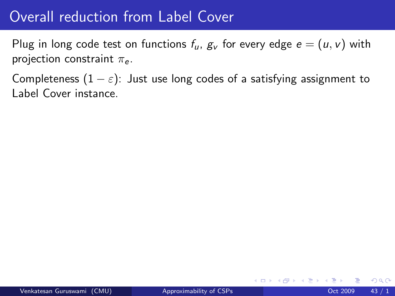### Overall reduction from Label Cover

Plug in long code test on functions  $f_u$ ,  $g_v$  for every edge  $e = (u, v)$  with projection constraint  $\pi_e$ .

Completeness  $(1 - \varepsilon)$ : Just use long codes of a satisfying assignment to Label Cover instance.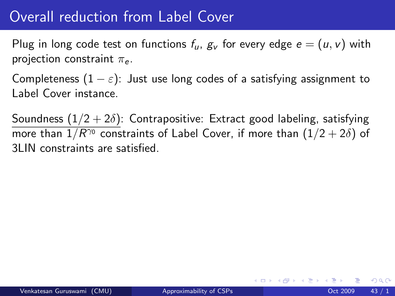### Overall reduction from Label Cover

Plug in long code test on functions  $f_u$ ,  $g_v$  for every edge  $e = (u, v)$  with projection constraint  $\pi_e$ .

Completeness  $(1 - \varepsilon)$ : Just use long codes of a satisfying assignment to Label Cover instance.

Soundness  $(1/2 + 2\delta)$ : Contrapositive: Extract good labeling, satisfying more than  $1/R^{\gamma_0}$  constraints of Label Cover, if more than  $(1/2+2\delta)$  of 3LIN constraints are satisfied.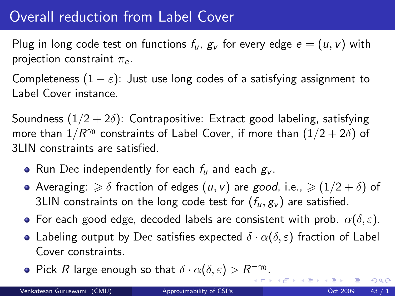## Overall reduction from Label Cover

Plug in long code test on functions  $f_u$ ,  $g_v$  for every edge  $e = (u, v)$  with projection constraint  $\pi_e$ .

Completeness  $(1 - \varepsilon)$ : Just use long codes of a satisfying assignment to Label Cover instance.

Soundness  $(1/2 + 2\delta)$ : Contrapositive: Extract good labeling, satisfying more than  $1/R^{\gamma_0}$  constraints of Label Cover, if more than  $(1/2+2\delta)$  of 3LIN constraints are satisfied.

- Run Dec independently for each  $f_u$  and each  $g_v$ .
- Averaging:  $\geq \delta$  fraction of edges  $(u, v)$  are good, i.e.,  $\geq (1/2 + \delta)$  of 3LIN constraints on the long code test for  $(f_u, g_v)$  are satisfied.
- For each good edge, decoded labels are consistent with prob.  $\alpha(\delta, \varepsilon)$ .
- Labeling output by Dec satisfies expected  $\delta \cdot \alpha(\delta, \varepsilon)$  fraction of Label Cover constraints.
- Pick R large enough so that  $\delta \cdot \alpha(\delta, \varepsilon) > R^{-\gamma_0}$ [.](#page-0-0)

(ロ) (倒) (ミ) (ミ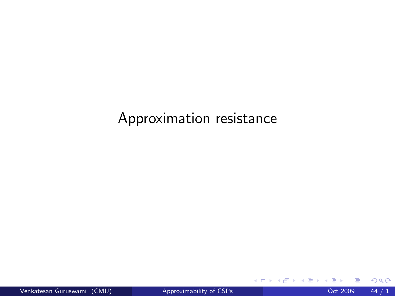### Approximation resistance

**∢ ロ ▶ イ 伊 ▶** 

ik ⊞i⊁ik

 $2990$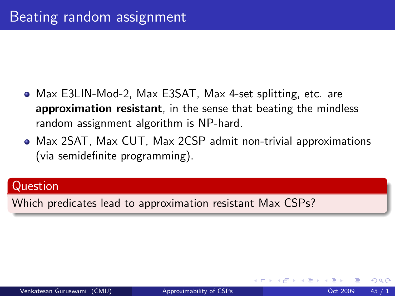- Max E3LIN-Mod-2, Max E3SAT, Max 4-set splitting, etc. are approximation resistant, in the sense that beating the mindless random assignment algorithm is NP-hard.
- Max 2SAT, Max CUT, Max 2CSP admit non-trivial approximations (via semidefinite programming).

#### Question

Which predicates lead to approximation resistant Max CSPs?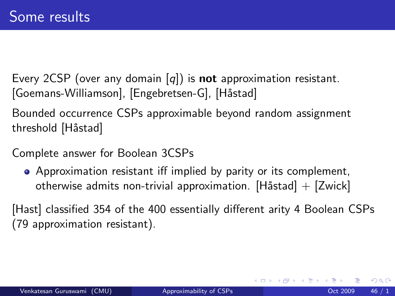Every 2CSP (over any domain  $[q]$ ) is **not** approximation resistant. [Goemans-Williamson], [Engebretsen-G], [Håstad]

Bounded occurrence CSPs approximable beyond random assignment threshold [Håstad]

Complete answer for Boolean 3CSPs

Approximation resistant iff implied by parity or its complement, otherwise admits non-trivial approximation. [Håstad]  $+$  [Zwick]

[Hast] classified 354 of the 400 essentially different arity 4 Boolean CSPs (79 approximation resistant).

4 0 8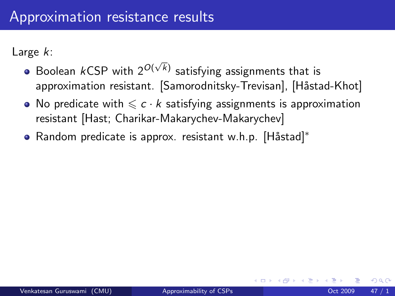Large k:

- Boolean  $k$ CSP with  $2^{O(\sqrt{k})}$  satisfying assignments that is approximation resistant. [Samorodnitsky-Trevisan], [Håstad-Khot]
- No predicate with  $\leqslant c \cdot k$  satisfying assignments is approximation resistant [Hast; Charikar-Makarychev-Makarychev]
- Random predicate is approx. resistant w.h.p. [Håstad]\*

つひひ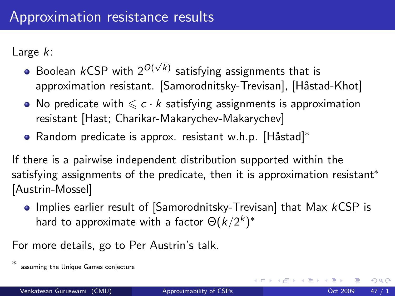Large k:

- Boolean  $k$ CSP with  $2^{O(\sqrt{k})}$  satisfying assignments that is approximation resistant. [Samorodnitsky-Trevisan], [Håstad-Khot]
- No predicate with  $\leqslant c \cdot k$  satisfying assignments is approximation resistant [Hast; Charikar-Makarychev-Makarychev]
- Random predicate is approx. resistant w.h.p. [Håstad]\*

If there is a pairwise independent distribution supported within the satisfying assignments of the predicate, then it is approximation resistant<sup>\*</sup> [Austrin-Mossel]

• Implies earlier result of [Samorodnitsky-Trevisan] that Max kCSP is hard to approximate with a factor  $\Theta(k/2^k)^*$ 

For more details, go to Per Austrin's talk.

4 0 8

<sup>∗</sup> assuming the Unique Games conjecture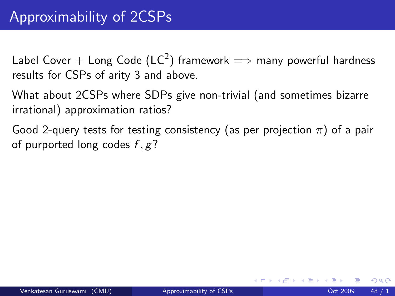Label Cover  $+$  Long Code (LC $^2)$  framework  $\Longrightarrow$  many powerful hardness results for CSPs of arity 3 and above.

What about 2CSPs where SDPs give non-trivial (and sometimes bizarre irrational) approximation ratios?

Good 2-query tests for testing consistency (as per projection  $\pi$ ) of a pair of purported long codes  $f, g$ ?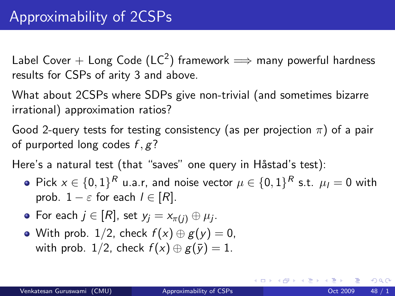Label Cover  $+$  Long Code (LC $^2)$  framework  $\Longrightarrow$  many powerful hardness results for CSPs of arity 3 and above.

What about 2CSPs where SDPs give non-trivial (and sometimes bizarre irrational) approximation ratios?

Good 2-query tests for testing consistency (as per projection  $\pi$ ) of a pair of purported long codes  $f, g$ ?

Here's a natural test (that "saves" one query in Håstad's test):

- Pick  $x \in \{0,1\}^R$  u.a.r, and noise vector  $\mu \in \{0,1\}^R$  s.t.  $\mu_I = 0$  with prob.  $1 - \varepsilon$  for each  $l \in [R]$ .
- For each  $j\in[R]$ , set  $y_j=x_{\pi(j)}\oplus\mu_j.$
- With prob. 1/2, check  $f(x) \oplus g(y) = 0$ , with prob. 1/2, check  $f(x) \oplus g(\bar{y}) = 1$ .

メロト メ団 トメ きトメ 毛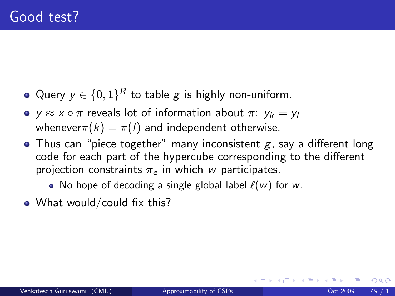- Query  $y \in \{0,1\}^R$  to table  $g$  is highly non-uniform.
- $y \approx x \circ \pi$  reveals lot of information about  $\pi: y_k = y_l$ whenever $\pi(k) = \pi(l)$  and independent otherwise.
- Thus can "piece together" many inconsistent  $g$ , say a different long code for each part of the hypercube corresponding to the different projection constraints  $\pi_e$  in which w participates.
	- No hope of decoding a single global label  $\ell(w)$  for w.
- What would/could fix this?

 $200$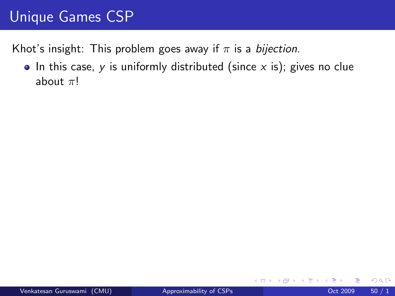# Unique Games CSP

Khot's insight: This problem goes away if  $\pi$  is a *bijection*.

 $\bullet$  In this case, y is uniformly distributed (since x is); gives no clue about  $\pi!$ 

4 0 8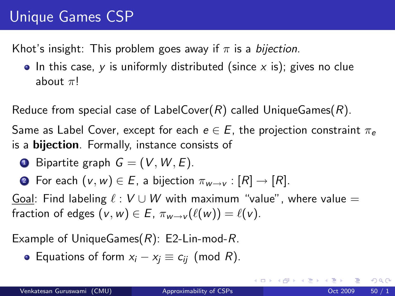# Unique Games CSP

Khot's insight: This problem goes away if  $\pi$  is a bijection.

 $\bullet$  In this case, y is uniformly distributed (since x is); gives no clue about  $\pi$ !

Reduce from special case of LabelCover(R) called UniqueGames(R).

Same as Label Cover, except for each  $e \in E$ , the projection constraint  $\pi_e$ is a bijection. Formally, instance consists of

- **1** Bipartite graph  $G = (V, W, E)$ .
- **2** For each  $(v, w) \in E$ , a bijection  $\pi_{w \to v} : [R] \to [R]$ .

Goal: Find labeling  $\ell : V \cup W$  with maximum "value", where value = fraction of edges  $(v, w) \in E$ ,  $\pi_{w \to v}(\ell(w)) = \ell(v)$ .

Example of UniqueGames $(R)$ : E2-Lin-mod-R.

 $\bullet$  Equations of form  $x_i - x_j \equiv c_{ii}$  (mod R).

 $QQ$ 

メロメ メ都 メメ きょくきょ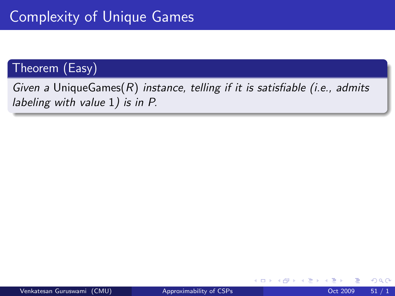#### Theorem (Easy)

Given a UniqueGames $(R)$  instance, telling if it is satisfiable (i.e., admits labeling with value 1) is in P.

4 0 8

 $298$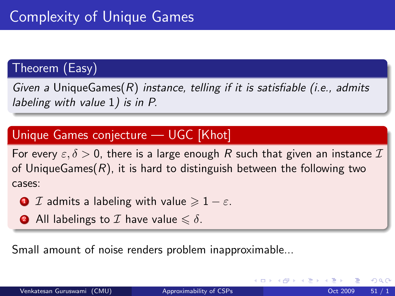#### Theorem (Easy)

Given a UniqueGames $(R)$  instance, telling if it is satisfiable (i.e., admits labeling with value 1) is in P.

#### Unique Games conjecture — UGC [Khot]

For every  $\epsilon, \delta > 0$ , there is a large enough R such that given an instance  $\mathcal I$ of UniqueGames $(R)$ , it is hard to distinguish between the following two cases:

- **1** I admits a labeling with value  $\geq 1 \varepsilon$ .
- **2** All labelings to  $\mathcal I$  have value  $\leq \delta$ .

Small amount of noise renders problem inapproximable...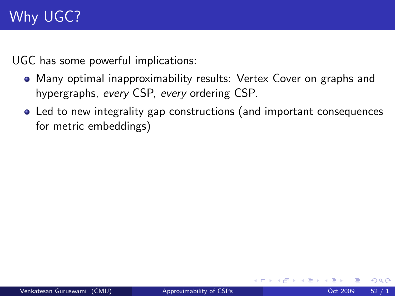UGC has some powerful implications:

- Many optimal inapproximability results: Vertex Cover on graphs and hypergraphs, every CSP, every ordering CSP.
- Led to new integrality gap constructions (and important consequences for metric embeddings)

4 0 8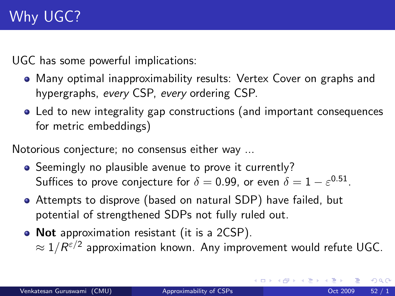UGC has some powerful implications:

- Many optimal inapproximability results: Vertex Cover on graphs and hypergraphs, every CSP, every ordering CSP.
- Led to new integrality gap constructions (and important consequences for metric embeddings)

Notorious conjecture; no consensus either way ...

- Seemingly no plausible avenue to prove it currently? Suffices to prove conjecture for  $\delta=$  0.99, or even  $\delta=1-\varepsilon^{0.51}.$
- Attempts to disprove (based on natural SDP) have failed, but potential of strengthened SDPs not fully ruled out.
- Not approximation resistant (it is a 2CSP).  $\approx 1/R^{\varepsilon/2}$  approximation known. Any improvement would refute UGC.

 $QQ$ 

イロト イ押 トイヨト イヨ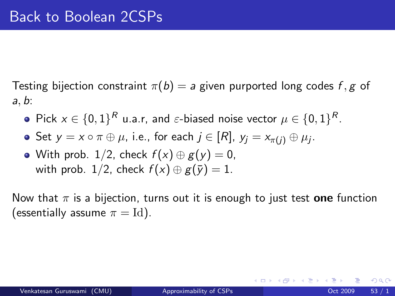Testing bijection constraint  $\pi(b) = a$  given purported long codes f, g of a, b:

- Pick  $x \in \{0,1\}^R$  u.a.r, and  $\varepsilon\text{-biased noise vector } \mu \in \{0,1\}^R.$
- Set  $\mathsf{y}=\mathsf{x}\circ\pi\oplus\mu$ , i.e., for each  $j\in[R]$ ,  $\mathsf{y}_{j}=\mathsf{x}_{\pi(j)}\oplus\mu_{j}$ .
- With prob. 1/2, check  $f(x) \oplus g(y) = 0$ , with prob. 1/2, check  $f(x) \oplus g(\bar{y}) = 1$ .

Now that  $\pi$  is a bijection, turns out it is enough to just test one function (essentially assume  $\pi = Id$ ).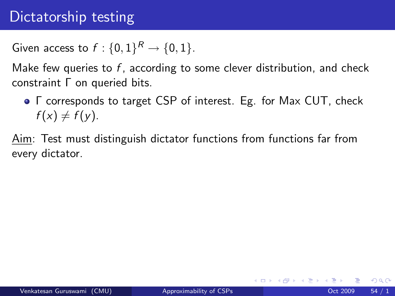## Dictatorship testing

Given access to  $f: \{0,1\}^R \rightarrow \{0,1\}.$ 

Make few queries to  $f$ , according to some clever distribution, and check constraint Γ on queried bits.

Γ corresponds to target CSP of interest. Eg. for Max CUT, check  $f(x) \neq f(y)$ .

Aim: Test must distinguish dictator functions from functions far from every dictator.

4 0 8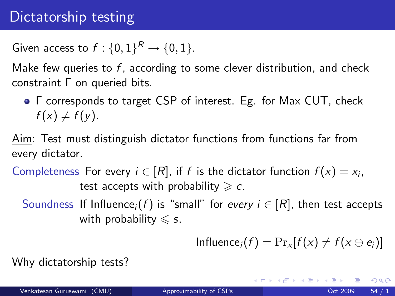## Dictatorship testing

Given access to  $f: \{0,1\}^R \rightarrow \{0,1\}.$ 

Make few queries to  $f$ , according to some clever distribution, and check constraint Γ on queried bits.

Γ corresponds to target CSP of interest. Eg. for Max CUT, check  $f(x) \neq f(y)$ .

Aim: Test must distinguish dictator functions from functions far from every dictator.

Completeness For every  $i \in [R]$ , if f is the dictator function  $f(x) = x_i$ , test accepts with probability  $\geqslant c$ .

Soundness If Influence<sub>i</sub>(f) is "small" for every  $i \in [R]$ , then test accepts with probability  $\leqslant$  s.

Influence<sub>i</sub> $(f) = Pr_x[f(x) \neq f(x \oplus e_i)]$ 

K ロ ▶ K 個 ▶ K 경 ▶ K 경 ▶ X 경

Why dictatorship tests?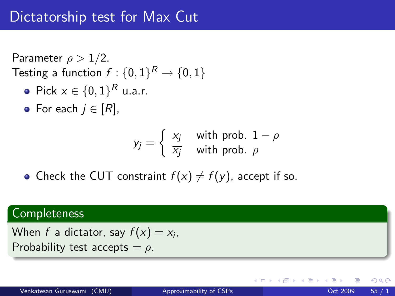Parameter  $\rho > 1/2$ . Testing a function  $f:\{0,1\}^R \rightarrow \{0,1\}$ 

- Pick  $x \in \{0,1\}^R$  u.a.r.
- For each  $j \in [R]$ ,

$$
y_j = \begin{cases} x_j & \text{with prob. } 1 - \rho \\ \overline{x_j} & \text{with prob. } \rho \end{cases}
$$

• Check the CUT constraint  $f(x) \neq f(y)$ , accept if so.

#### Completeness

When  $f$  a dictator, say  $f(x) = x_i$ , Probability test accepts  $= \rho$ .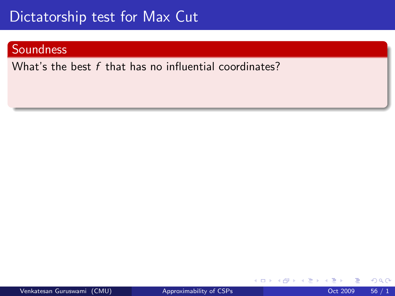# Dictatorship test for Max Cut

#### Soundness

What's the best  $f$  that has no influential coordinates?

4 0 8

 $QQQ$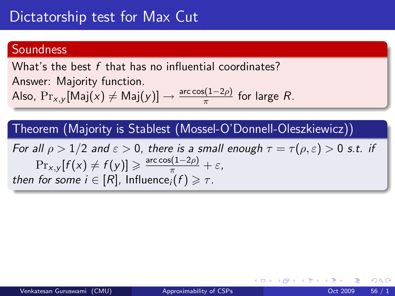# Dictatorship test for Max Cut

#### **Soundness**

What's the best f that has no influential coordinates? Answer: Majority function. Also,  $\mathrm{Pr}_{x,y}[\mathsf{Maj}(x) \neq \mathsf{Maj}(y)] \rightarrow \frac{\text{arc}\cos(1-2\rho)}{\pi}$  for large  $R$ .

Theorem (Majority is Stablest (Mossel-O'Donnell-Oleszkiewicz))

For all  $\rho > 1/2$  and  $\varepsilon > 0$ , there is a small enough  $\tau = \tau(\rho, \varepsilon) > 0$  s.t. if  $\Pr_{x,y}[f(x) \neq f(y)] \geqslant \frac{\arccos(1-2\rho)}{\pi} + \varepsilon,$ then for some  $i \in [R]$ , Influence $i(f) \geq \tau$ .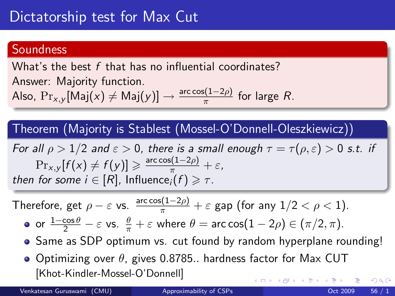#### **Soundness**

What's the best f that has no influential coordinates? Answer: Majority function. Also,  $\mathrm{Pr}_{x,y}[\mathsf{Maj}(x) \neq \mathsf{Maj}(y)] \rightarrow \frac{\text{arc}\cos(1-2\rho)}{\pi}$  for large  $R$ .

Theorem (Majority is Stablest (Mossel-O'Donnell-Oleszkiewicz))

For all  $\rho > 1/2$  and  $\varepsilon > 0$ , there is a small enough  $\tau = \tau(\rho, \varepsilon) > 0$  s.t. if  $\Pr_{x,y}[f(x) \neq f(y)] \geqslant \frac{\arccos(1-2\rho)}{\pi} + \varepsilon,$ then for some  $i \in [R]$ , Influence $i(f) \geq \tau$ .

Therefore, get 
$$
\rho - \varepsilon
$$
 vs.  $\frac{\arccos(1-2\rho)}{\pi} + \varepsilon$  gap (for any  $1/2 < \rho < 1$ ).

• or 
$$
\frac{1-\cos\theta}{2} - \varepsilon
$$
 vs.  $\frac{\theta}{\pi} + \varepsilon$  where  $\theta = \arccos(1-2\rho) \in (\pi/2, \pi)$ .

- Same as SDP optimum vs. cut found by random hyperplane rounding!
- Optimizing over  $\theta$ , gives 0.8785.. hardness factor for Max CUT [Khot-Kindler-Mossel-O'Donnell]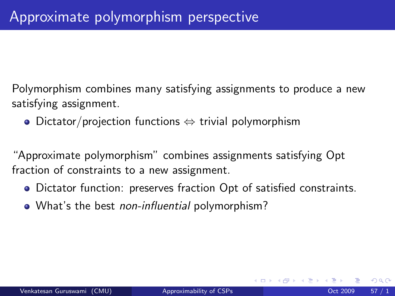Polymorphism combines many satisfying assignments to produce a new satisfying assignment.

Dictator/projection functions ⇔ trivial polymorphism

"Approximate polymorphism" combines assignments satisfying Opt fraction of constraints to a new assignment.

- Dictator function: preserves fraction Opt of satisfied constraints.
- What's the best non-influential polymorphism?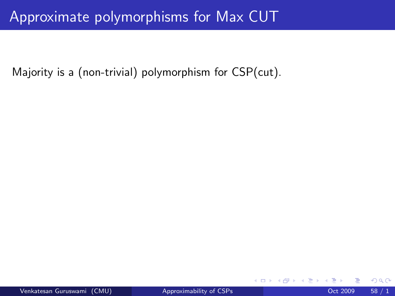## Approximate polymorphisms for Max CUT

Majority is a (non-trivial) polymorphism for CSP(cut).

4 0 8

 $299$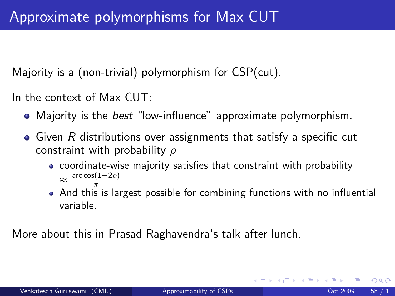Majority is a (non-trivial) polymorphism for CSP(cut).

In the context of Max CUT:

- Majority is the *best* "low-influence" approximate polymorphism.
- $\bullet$  Given R distributions over assignments that satisfy a specific cut constraint with probability  $\rho$ 
	- coordinate-wise majority satisfies that constraint with probability  $\approx \frac{\arccos(1-2\rho)}{\pi}$
	- $\tilde{\bar{\mathcal{C}}}$  And this is largest possible for combining functions with no influential variable.

More about this in Prasad Raghavendra's talk after lunch.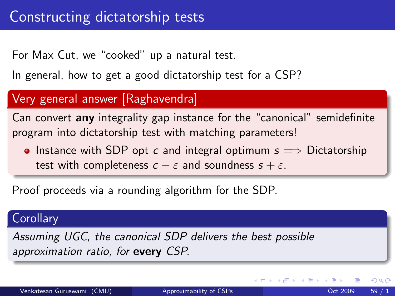For Max Cut, we "cooked" up a natural test.

In general, how to get a good dictatorship test for a CSP?

#### Very general answer [Raghavendra]

Can convert any integrality gap instance for the "canonical" semidefinite program into dictatorship test with matching parameters!

• Instance with SDP opt c and integral optimum  $s \implies$  Dictatorship test with completeness  $c - \varepsilon$  and soundness  $s + \varepsilon$ .

Proof proceeds via a rounding algorithm for the SDP.

#### **Corollary**

Assuming UGC, the canonical SDP delivers the best possible approximation ratio, for every CSP.

4 D F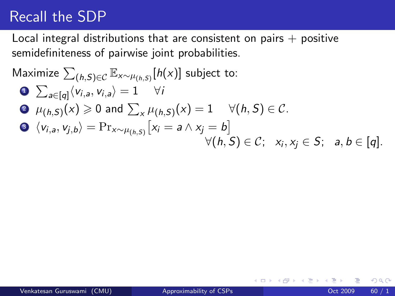## Recall the SDP

Local integral distributions that are consistent on pairs  $+$  positive semidefiniteness of pairwise joint probabilities.

$$
\begin{aligned}\n\text{Maximize } & \sum_{(h,S)\in\mathcal{C}} \mathbb{E}_{x \sim \mu_{(h,S)}}[h(x)] \text{ subject to:} \\
& \sum_{a \in [q]} \langle v_{i,a}, v_{i,a} \rangle = 1 \quad \forall i \\
& \theta \mu_{(h,S)}(x) \ge 0 \text{ and } \sum_{x} \mu_{(h,S)}(x) = 1 \quad \forall (h,S) \in \mathcal{C}. \\
& \Theta \langle v_{i,a}, v_{j,b} \rangle = \Pr_{x \sim \mu_{(h,S)}}[x_i = a \land x_j = b] \\
& \forall (h,S) \in \mathcal{C}; \quad x_i, x_j \in S; \quad a, b \in [q].\n\end{aligned}
$$

4 0 8

 $\rightarrow$ 

 $QQQ$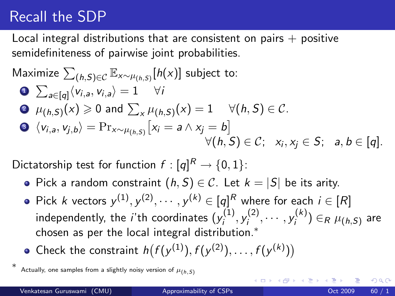## Recall the SDP

Local integral distributions that are consistent on pairs  $+$  positive semidefiniteness of pairwise joint probabilities.

$$
\begin{aligned}\n\text{Maximize } & \sum_{(h,S)\in\mathcal{C}} \mathbb{E}_{x \sim \mu_{(h,S)}}[h(x)] \text{ subject to:} \\
& \bullet \sum_{a \in [q]} \langle v_{i,a}, v_{i,a} \rangle = 1 \quad \forall i \\
& \bullet \mu_{(h,S)}(x) \ge 0 \text{ and } \sum_{x} \mu_{(h,S)}(x) = 1 \quad \forall (h,S) \in \mathcal{C}. \\
& \bullet \langle v_{i,a}, v_{j,b} \rangle = \Pr_{x \sim \mu_{(h,S)}}[x_i = a \land x_j = b] \\
& \forall (h,S) \in \mathcal{C}; \quad x_i, x_j \in S; \quad a, b \in [q].\n\end{aligned}
$$

Dictatorship test for function  $f:[q]^R\rightarrow \{0,1\}$ :

- Pick a random constraint  $(h, S) \in \mathcal{C}$ . Let  $k = |S|$  be its arity.
- Pick k vectors  $y^{(1)}, y^{(2)}, \cdots, y^{(k)} \in [q]^R$  where for each  $i \in [R]$ independently, the *i*'th coordinates  $(y^{(1)}_i)$  $j^{(1)}, y^{(2)}_i$  $y_i^{(2)}, \cdots, y_i^{(k)}$  $\mu_h^{(\kappa)}\big) \in_R \mu_{(h,\mathcal{S})}$  are chosen as per the local integral distribution.<sup>∗</sup>
- Check the constraint  $h(f(y^{(1)}), f(y^{(2)}), \ldots, f(y^{(k)}))$

∗

つへへ

Actually, one samples from a slightly noisy version of  $\mu_{(h, S)}$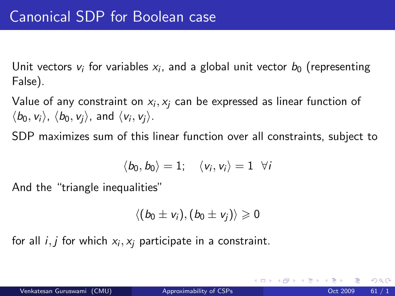Unit vectors  $v_i$  for variables  $x_i$ , and a global unit vector  $b_0$  (representing False).

Value of any constraint on  $\mathsf{x}_{i},\mathsf{x}_{j}$  can be expressed as linear function of  $\langle b_0, v_i \rangle$ ,  $\langle b_0, v_j \rangle$ , and  $\langle v_i, v_j \rangle$ .

SDP maximizes sum of this linear function over all constraints, subject to

$$
\langle b_0, b_0 \rangle = 1; \quad \langle v_i, v_i \rangle = 1 \ \forall i
$$

And the "triangle inequalities"

$$
\langle (b_0\pm v_i),(b_0\pm v_j)\rangle\geqslant 0
$$

for all  $i,j$  for which  $x_i,x_j$  participate in a constraint.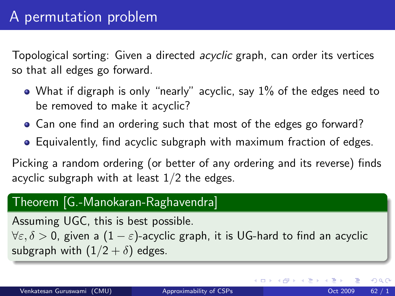Topological sorting: Given a directed acyclic graph, can order its vertices so that all edges go forward.

- What if digraph is only "nearly" acyclic, say 1% of the edges need to be removed to make it acyclic?
- Can one find an ordering such that most of the edges go forward?
- Equivalently, find acyclic subgraph with maximum fraction of edges.

Picking a random ordering (or better of any ordering and its reverse) finds acyclic subgraph with at least  $1/2$  the edges.

## Theorem [G.-Manokaran-Raghavendra]

Assuming UGC, this is best possible.

 $\forall \varepsilon, \delta > 0$ , given a  $(1 - \varepsilon)$ -acyclic graph, it is UG-hard to find an acyclic subgraph with  $(1/2 + \delta)$  edges.

 $QQQ$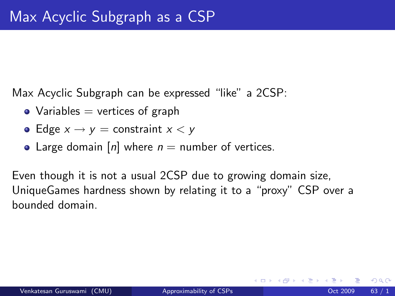Max Acyclic Subgraph can be expressed "like" a 2CSP:

- Variables  $=$  vertices of graph
- Edge  $x \rightarrow y =$  constraint  $x < y$
- Large domain [n] where  $n =$  number of vertices.

Even though it is not a usual 2CSP due to growing domain size, UniqueGames hardness shown by relating it to a "proxy" CSP over a bounded domain.

 $\Omega$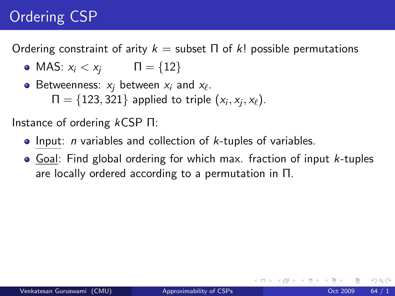## Ordering CSP

Ordering constraint of arity  $k =$  subset Π of k! possible permutations

• MAS:  $x_i < x_i$   $\Pi = \{12\}$ 

Betweenness:  $x_j$  between  $x_i$  and  $x_\ell.$  $\Pi = \{123, 321\}$  applied to triple  $(x_i, x_j, x_\ell)$ .

Instance of ordering kCSP Π:

- $\bullet$  Input: *n* variables and collection of *k*-tuples of variables.
- $\bullet$  Goal: Find global ordering for which max. fraction of input *k*-tuples are locally ordered according to a permutation in Π.

 $QQ$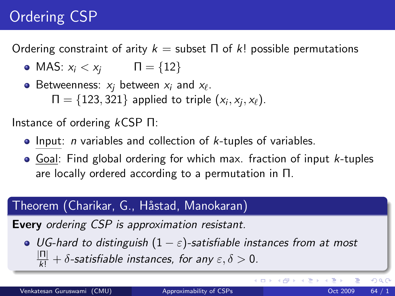## Ordering CSP

Ordering constraint of arity  $k =$  subset Π of k! possible permutations

• MAS:  $x_i < x_i$   $\Pi = \{12\}$ 

Betweenness:  $x_j$  between  $x_i$  and  $x_\ell.$  $\Pi = \{123, 321\}$  applied to triple  $(x_i, x_j, x_\ell)$ .

Instance of ordering kCSP Π:

- $\bullet$  Input: *n* variables and collection of *k*-tuples of variables.
- $\bullet$  Goal: Find global ordering for which max. fraction of input *k*-tuples are locally ordered according to a permutation in Π.

## Theorem (Charikar, G., Håstad, Manokaran)

Every ordering CSP is approximation resistant.

• UG-hard to distinguish  $(1 - \varepsilon)$ -satisfiable instances from at most  $\frac{|\Pi|}{|k|} + \delta$ -satisfiable instances, for any  $\varepsilon, \delta > 0$ .

**∢ ロ ▶ イ 伊 ▶** 

 $\rightarrow$   $\equiv$   $\rightarrow$ 

 $QQ$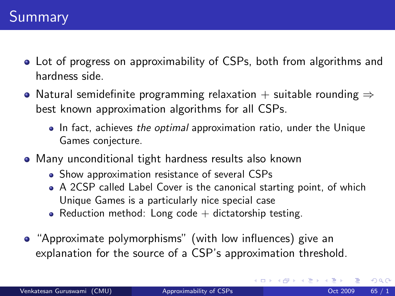- Lot of progress on approximability of CSPs, both from algorithms and hardness side.
- Natural semidefinite programming relaxation + suitable rounding  $\Rightarrow$ best known approximation algorithms for all CSPs.
	- In fact, achieves the optimal approximation ratio, under the Unique Games conjecture.
- Many unconditional tight hardness results also known
	- Show approximation resistance of several CSPs
	- A 2CSP called Label Cover is the canonical starting point, of which Unique Games is a particularly nice special case
	- Reduction method: Long code  $+$  dictatorship testing.
- "Approximate polymorphisms" (with low influences) give an explanation for the source of a CSP's approximation threshold.

 $\Omega$ 

 $\left\{ \left\{ \bigoplus_{i=1}^{n} x_i \; : \; i \in \mathbb{R} \right\} \right.$